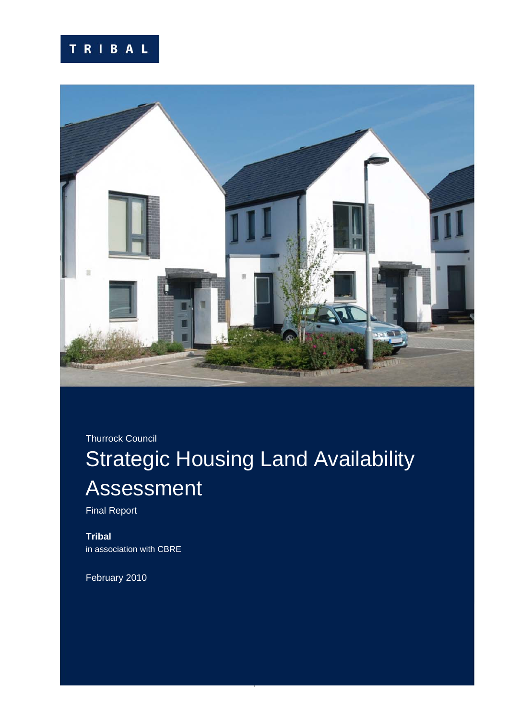



Thurrock Council

# Strategic Housing Land Availability Assessment

i

Final Report

**Tribal**  in association with CBRE

February 2010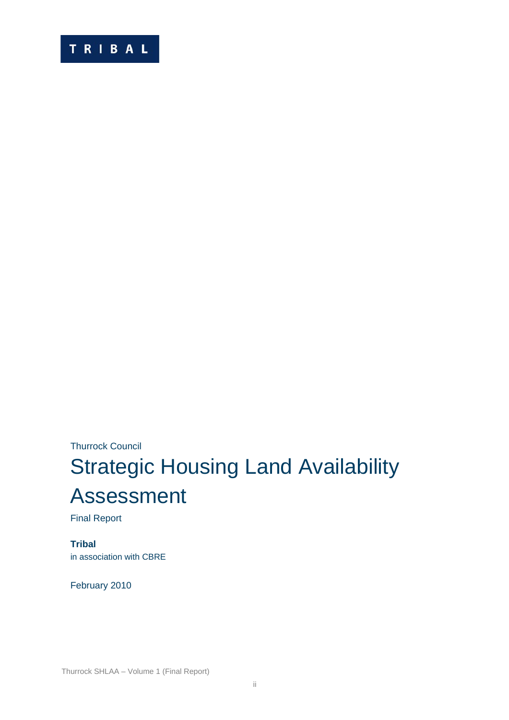

Thurrock Council Strategic Housing Land Availability Assessment

Final Report

**Tribal**  in association with CBRE

February 2010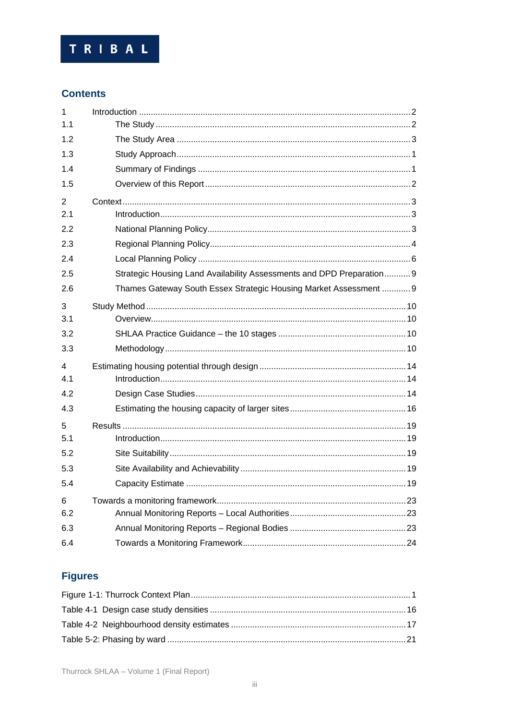# **Contents**

| 1<br>1.1              |                                                                       |
|-----------------------|-----------------------------------------------------------------------|
| 1.2                   |                                                                       |
| 1.3                   |                                                                       |
| 1.4                   |                                                                       |
| 1.5                   |                                                                       |
| 2<br>2.1              |                                                                       |
| 2.2                   |                                                                       |
| 2.3                   |                                                                       |
| 2.4                   |                                                                       |
| 2.5                   | Strategic Housing Land Availability Assessments and DPD Preparation 9 |
| 2.6                   | Thames Gateway South Essex Strategic Housing Market Assessment  9     |
| 3<br>3.1              |                                                                       |
| 3.2                   |                                                                       |
| 3.3                   |                                                                       |
| $\overline{4}$<br>4.1 |                                                                       |
| 4.2                   |                                                                       |
| 4.3                   |                                                                       |
| 5<br>5.1              |                                                                       |
| 5.2                   |                                                                       |
| 5.3                   |                                                                       |
| 5.4                   |                                                                       |
| 6<br>6.2              |                                                                       |
| 6.3                   |                                                                       |
| 6.4                   |                                                                       |

# **Figures**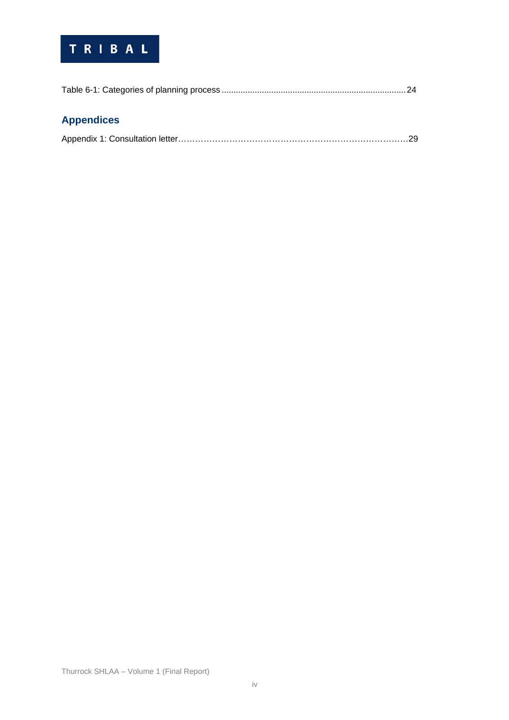

|--|

# **Appendices**

|--|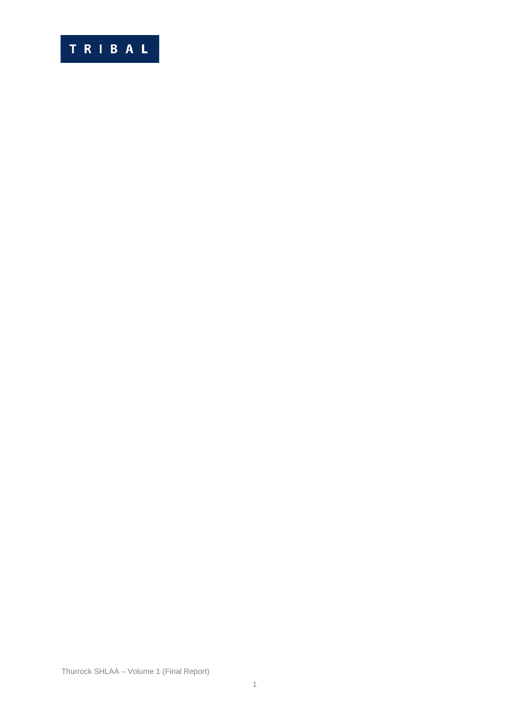

Thurrock SHLAA – Volume 1 (Final Report)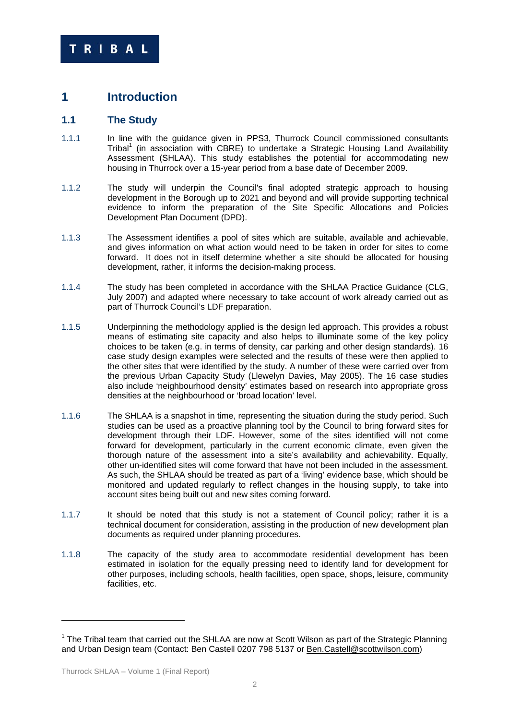# **1 Introduction**

### **1.1 The Study**

- 1.1.1 In line with the guidance given in PPS3, Thurrock Council commissioned consultants Tribal<sup>1</sup> (in association with CBRE) to undertake a Strategic Housing Land Availability Assessment (SHLAA). This study establishes the potential for accommodating new housing in Thurrock over a 15-year period from a base date of December 2009.
- 1.1.2 The study will underpin the Council's final adopted strategic approach to housing development in the Borough up to 2021 and beyond and will provide supporting technical evidence to inform the preparation of the Site Specific Allocations and Policies Development Plan Document (DPD).
- 1.1.3 The Assessment identifies a pool of sites which are suitable, available and achievable, and gives information on what action would need to be taken in order for sites to come forward. It does not in itself determine whether a site should be allocated for housing development, rather, it informs the decision-making process.
- 1.1.4 The study has been completed in accordance with the SHLAA Practice Guidance (CLG, July 2007) and adapted where necessary to take account of work already carried out as part of Thurrock Council's LDF preparation.
- 1.1.5 Underpinning the methodology applied is the design led approach. This provides a robust means of estimating site capacity and also helps to illuminate some of the key policy choices to be taken (e.g. in terms of density, car parking and other design standards). 16 case study design examples were selected and the results of these were then applied to the other sites that were identified by the study. A number of these were carried over from the previous Urban Capacity Study (Llewelyn Davies, May 2005). The 16 case studies also include 'neighbourhood density' estimates based on research into appropriate gross densities at the neighbourhood or 'broad location' level.
- 1.1.6 The SHLAA is a snapshot in time, representing the situation during the study period. Such studies can be used as a proactive planning tool by the Council to bring forward sites for development through their LDF. However, some of the sites identified will not come forward for development, particularly in the current economic climate, even given the thorough nature of the assessment into a site's availability and achievability. Equally, other un-identified sites will come forward that have not been included in the assessment. As such, the SHLAA should be treated as part of a 'living' evidence base, which should be monitored and updated regularly to reflect changes in the housing supply, to take into account sites being built out and new sites coming forward.
- 1.1.7 It should be noted that this study is not a statement of Council policy; rather it is a technical document for consideration, assisting in the production of new development plan documents as required under planning procedures.
- 1.1.8 The capacity of the study area to accommodate residential development has been estimated in isolation for the equally pressing need to identify land for development for other purposes, including schools, health facilities, open space, shops, leisure, community facilities, etc.

-

 $1$  The Tribal team that carried out the SHLAA are now at Scott Wilson as part of the Strategic Planning and Urban Design team (Contact: Ben Castell 0207 798 5137 or Ben.Castell@scottwilson.com)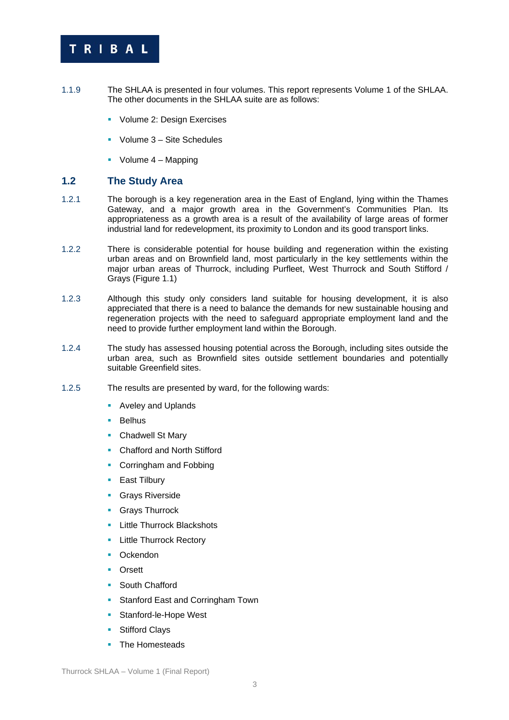- 1.1.9 The SHLAA is presented in four volumes. This report represents Volume 1 of the SHLAA. The other documents in the SHLAA suite are as follows:
	- **Volume 2: Design Exercises**
	- Volume 3 Site Schedules
	- $\blacksquare$  Volume  $4$  Mapping

### **1.2 The Study Area**

- 1.2.1 The borough is a key regeneration area in the East of England, lying within the Thames Gateway, and a major growth area in the Government's Communities Plan. Its appropriateness as a growth area is a result of the availability of large areas of former industrial land for redevelopment, its proximity to London and its good transport links.
- 1.2.2 There is considerable potential for house building and regeneration within the existing urban areas and on Brownfield land, most particularly in the key settlements within the major urban areas of Thurrock, including Purfleet, West Thurrock and South Stifford / Grays (Figure 1.1)
- 1.2.3 Although this study only considers land suitable for housing development, it is also appreciated that there is a need to balance the demands for new sustainable housing and regeneration projects with the need to safeguard appropriate employment land and the need to provide further employment land within the Borough.
- 1.2.4 The study has assessed housing potential across the Borough, including sites outside the urban area, such as Brownfield sites outside settlement boundaries and potentially suitable Greenfield sites.
- 1.2.5 The results are presented by ward, for the following wards:
	- **Aveley and Uplands**
	- Belhus
	- Chadwell St Mary
	- Chafford and North Stifford
	- Corringham and Fobbing
	- East Tilbury
	- Grays Riverside
	- Grays Thurrock
	- **Little Thurrock Blackshots**
	- Little Thurrock Rectory
	- **Ockendon**
	- **Crsett**
	- **South Chafford**
	- Stanford East and Corringham Town
	- Stanford-le-Hope West
	- **Stifford Clays**
	- The Homesteads

Thurrock SHLAA – Volume 1 (Final Report)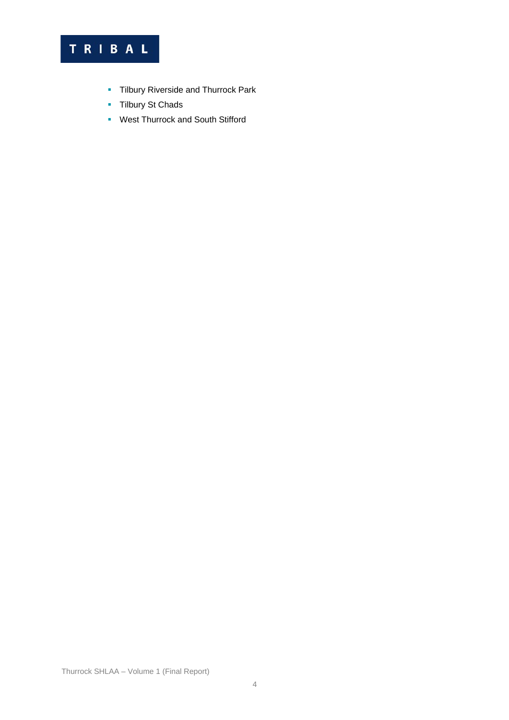- **Tilbury Riverside and Thurrock Park**
- **Tilbury St Chads**
- West Thurrock and South Stifford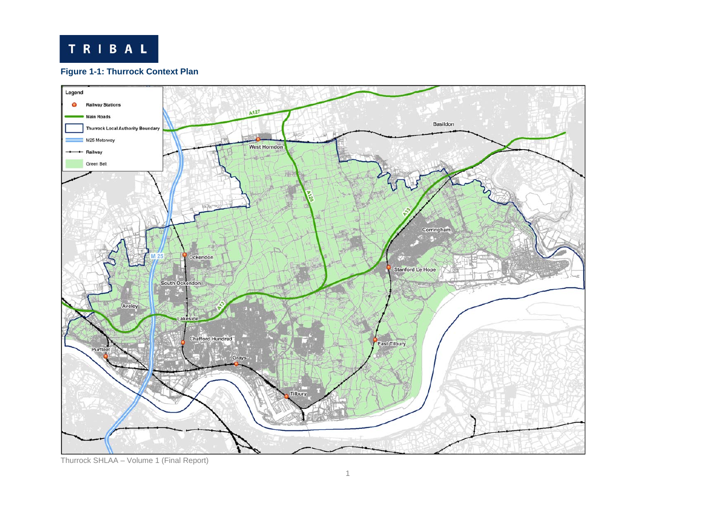#### **Figure 1-1: Thurrock Context Plan**



Thurrock SHLAA – Volume 1 (Final Report)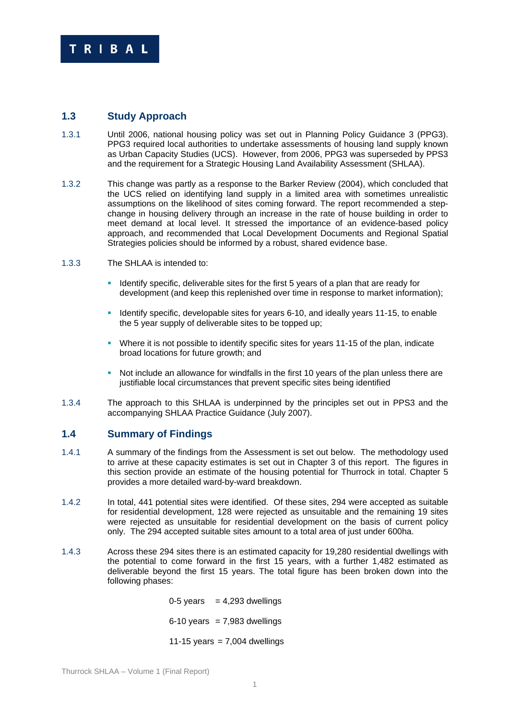# **1.3 Study Approach**

- 1.3.1 Until 2006, national housing policy was set out in Planning Policy Guidance 3 (PPG3). PPG3 required local authorities to undertake assessments of housing land supply known as Urban Capacity Studies (UCS). However, from 2006, PPG3 was superseded by PPS3 and the requirement for a Strategic Housing Land Availability Assessment (SHLAA).
- 1.3.2 This change was partly as a response to the Barker Review (2004), which concluded that the UCS relied on identifying land supply in a limited area with sometimes unrealistic assumptions on the likelihood of sites coming forward. The report recommended a stepchange in housing delivery through an increase in the rate of house building in order to meet demand at local level. It stressed the importance of an evidence-based policy approach, and recommended that Local Development Documents and Regional Spatial Strategies policies should be informed by a robust, shared evidence base.
- 1.3.3 The SHLAA is intended to:
	- I Identify specific, deliverable sites for the first 5 years of a plan that are ready for development (and keep this replenished over time in response to market information);
	- Identify specific, developable sites for years 6-10, and ideally years 11-15, to enable the 5 year supply of deliverable sites to be topped up;
	- Where it is not possible to identify specific sites for years 11-15 of the plan, indicate broad locations for future growth; and
	- Not include an allowance for windfalls in the first 10 years of the plan unless there are justifiable local circumstances that prevent specific sites being identified
- 1.3.4 The approach to this SHLAA is underpinned by the principles set out in PPS3 and the accompanying SHLAA Practice Guidance (July 2007).

### **1.4 Summary of Findings**

- 1.4.1 A summary of the findings from the Assessment is set out below. The methodology used to arrive at these capacity estimates is set out in Chapter 3 of this report. The figures in this section provide an estimate of the housing potential for Thurrock in total. Chapter 5 provides a more detailed ward-by-ward breakdown.
- 1.4.2 In total, 441 potential sites were identified. Of these sites, 294 were accepted as suitable for residential development, 128 were rejected as unsuitable and the remaining 19 sites were rejected as unsuitable for residential development on the basis of current policy only. The 294 accepted suitable sites amount to a total area of just under 600ha.
- 1.4.3 Across these 294 sites there is an estimated capacity for 19,280 residential dwellings with the potential to come forward in the first 15 years, with a further 1,482 estimated as deliverable beyond the first 15 years. The total figure has been broken down into the following phases:

 $0-5$  years = 4,293 dwellings  $6-10$  years = 7,983 dwellings 11-15 years  $= 7,004$  dwellings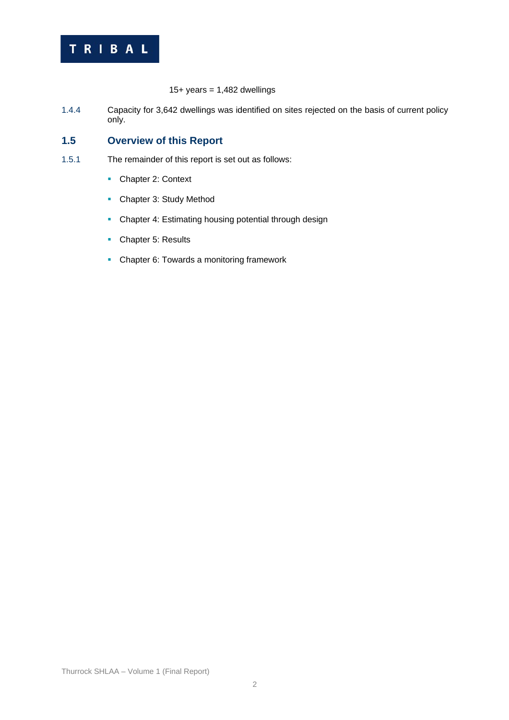

15+ years =  $1,482$  dwellings

1.4.4 Capacity for 3,642 dwellings was identified on sites rejected on the basis of current policy only.

# **1.5 Overview of this Report**

- 1.5.1 The remainder of this report is set out as follows:
	- Chapter 2: Context
	- Chapter 3: Study Method
	- **-** Chapter 4: Estimating housing potential through design
	- Chapter 5: Results
	- **-** Chapter 6: Towards a monitoring framework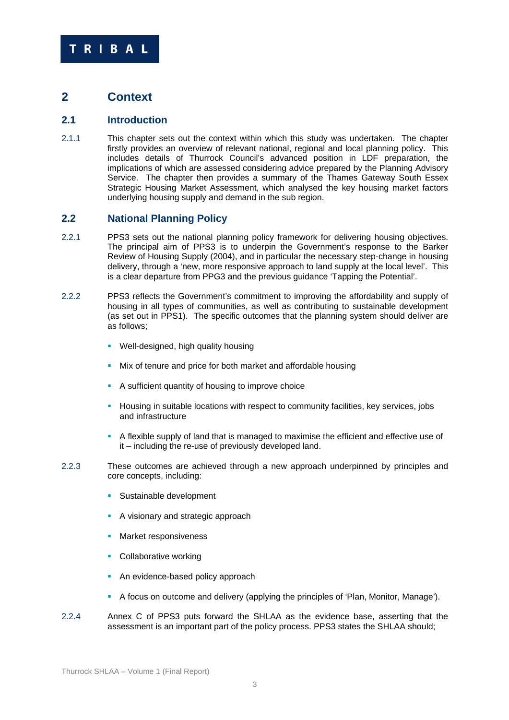# **2 Context**

### **2.1 Introduction**

2.1.1 This chapter sets out the context within which this study was undertaken. The chapter firstly provides an overview of relevant national, regional and local planning policy. This includes details of Thurrock Council's advanced position in LDF preparation, the implications of which are assessed considering advice prepared by the Planning Advisory Service. The chapter then provides a summary of the Thames Gateway South Essex Strategic Housing Market Assessment, which analysed the key housing market factors underlying housing supply and demand in the sub region.

#### **2.2 National Planning Policy**

- 2.2.1 PPS3 sets out the national planning policy framework for delivering housing objectives. The principal aim of PPS3 is to underpin the Government's response to the Barker Review of Housing Supply (2004), and in particular the necessary step-change in housing delivery, through a 'new, more responsive approach to land supply at the local level'. This is a clear departure from PPG3 and the previous guidance 'Tapping the Potential'.
- 2.2.2 PPS3 reflects the Government's commitment to improving the affordability and supply of housing in all types of communities, as well as contributing to sustainable development (as set out in PPS1). The specific outcomes that the planning system should deliver are as follows;
	- **Well-designed, high quality housing**
	- Mix of tenure and price for both market and affordable housing
	- A sufficient quantity of housing to improve choice
	- Housing in suitable locations with respect to community facilities, key services, jobs and infrastructure
	- A flexible supply of land that is managed to maximise the efficient and effective use of it – including the re-use of previously developed land.
- 2.2.3 These outcomes are achieved through a new approach underpinned by principles and core concepts, including:
	- **Sustainable development**
	- A visionary and strategic approach
	- **Market responsiveness**
	- Collaborative working
	- An evidence-based policy approach
	- A focus on outcome and delivery (applying the principles of 'Plan, Monitor, Manage').
- 2.2.4 Annex C of PPS3 puts forward the SHLAA as the evidence base, asserting that the assessment is an important part of the policy process. PPS3 states the SHLAA should;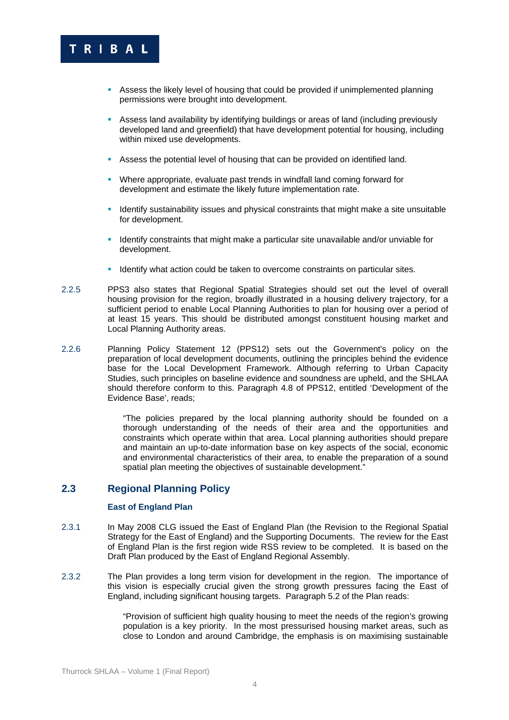- Assess the likely level of housing that could be provided if unimplemented planning permissions were brought into development.
- Assess land availability by identifying buildings or areas of land (including previously developed land and greenfield) that have development potential for housing, including within mixed use developments.
- Assess the potential level of housing that can be provided on identified land.
- Where appropriate, evaluate past trends in windfall land coming forward for development and estimate the likely future implementation rate.
- Identify sustainability issues and physical constraints that might make a site unsuitable for development.
- Identify constraints that might make a particular site unavailable and/or unviable for development.
- I dentify what action could be taken to overcome constraints on particular sites.
- 2.2.5 PPS3 also states that Regional Spatial Strategies should set out the level of overall housing provision for the region, broadly illustrated in a housing delivery trajectory, for a sufficient period to enable Local Planning Authorities to plan for housing over a period of at least 15 years. This should be distributed amongst constituent housing market and Local Planning Authority areas.
- 2.2.6 Planning Policy Statement 12 (PPS12) sets out the Government's policy on the preparation of local development documents, outlining the principles behind the evidence base for the Local Development Framework. Although referring to Urban Capacity Studies, such principles on baseline evidence and soundness are upheld, and the SHLAA should therefore conform to this. Paragraph 4.8 of PPS12, entitled 'Development of the Evidence Base', reads;

"The policies prepared by the local planning authority should be founded on a thorough understanding of the needs of their area and the opportunities and constraints which operate within that area. Local planning authorities should prepare and maintain an up-to-date information base on key aspects of the social, economic and environmental characteristics of their area, to enable the preparation of a sound spatial plan meeting the objectives of sustainable development."

### **2.3 Regional Planning Policy**

#### **East of England Plan**

- 2.3.1 In May 2008 CLG issued the East of England Plan (the Revision to the Regional Spatial Strategy for the East of England) and the Supporting Documents. The review for the East of England Plan is the first region wide RSS review to be completed. It is based on the Draft Plan produced by the East of England Regional Assembly.
- 2.3.2 The Plan provides a long term vision for development in the region. The importance of this vision is especially crucial given the strong growth pressures facing the East of England, including significant housing targets. Paragraph 5.2 of the Plan reads:

"Provision of sufficient high quality housing to meet the needs of the region's growing population is a key priority. In the most pressurised housing market areas, such as close to London and around Cambridge, the emphasis is on maximising sustainable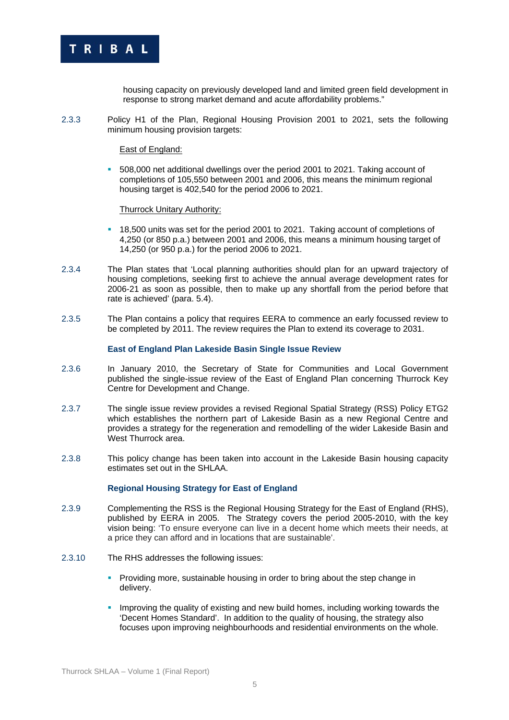

housing capacity on previously developed land and limited green field development in response to strong market demand and acute affordability problems."

2.3.3 Policy H1 of the Plan, Regional Housing Provision 2001 to 2021, sets the following minimum housing provision targets:

#### East of England:

 508,000 net additional dwellings over the period 2001 to 2021. Taking account of completions of 105,550 between 2001 and 2006, this means the minimum regional housing target is 402,540 for the period 2006 to 2021.

#### Thurrock Unitary Authority:

- 18,500 units was set for the period 2001 to 2021. Taking account of completions of 4,250 (or 850 p.a.) between 2001 and 2006, this means a minimum housing target of 14,250 (or 950 p.a.) for the period 2006 to 2021.
- 2.3.4 The Plan states that 'Local planning authorities should plan for an upward trajectory of housing completions, seeking first to achieve the annual average development rates for 2006-21 as soon as possible, then to make up any shortfall from the period before that rate is achieved' (para. 5.4).
- 2.3.5 The Plan contains a policy that requires EERA to commence an early focussed review to be completed by 2011. The review requires the Plan to extend its coverage to 2031.

#### **East of England Plan Lakeside Basin Single Issue Review**

- 2.3.6 In January 2010, the Secretary of State for Communities and Local Government published the single-issue review of the East of England Plan concerning Thurrock Key Centre for Development and Change.
- 2.3.7 The single issue review provides a revised Regional Spatial Strategy (RSS) Policy ETG2 which establishes the northern part of Lakeside Basin as a new Regional Centre and provides a strategy for the regeneration and remodelling of the wider Lakeside Basin and West Thurrock area.
- 2.3.8 This policy change has been taken into account in the Lakeside Basin housing capacity estimates set out in the SHLAA.

#### **Regional Housing Strategy for East of England**

- 2.3.9 Complementing the RSS is the Regional Housing Strategy for the East of England (RHS), published by EERA in 2005. The Strategy covers the period 2005-2010, with the key vision being: 'To ensure everyone can live in a decent home which meets their needs, at a price they can afford and in locations that are sustainable'.
- 2.3.10 The RHS addresses the following issues:
	- Providing more, sustainable housing in order to bring about the step change in delivery.
	- Improving the quality of existing and new build homes, including working towards the 'Decent Homes Standard'. In addition to the quality of housing, the strategy also focuses upon improving neighbourhoods and residential environments on the whole.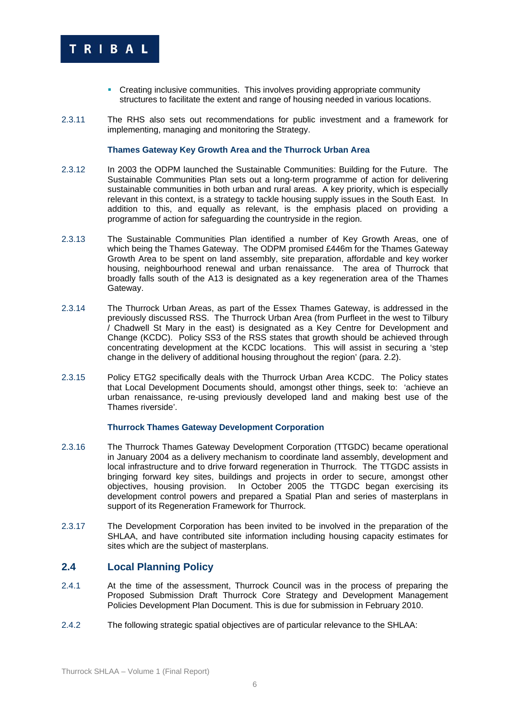- Creating inclusive communities. This involves providing appropriate community structures to facilitate the extent and range of housing needed in various locations.
- 2.3.11 The RHS also sets out recommendations for public investment and a framework for implementing, managing and monitoring the Strategy.

#### **Thames Gateway Key Growth Area and the Thurrock Urban Area**

- 2.3.12 In 2003 the ODPM launched the Sustainable Communities: Building for the Future. The Sustainable Communities Plan sets out a long-term programme of action for delivering sustainable communities in both urban and rural areas. A key priority, which is especially relevant in this context, is a strategy to tackle housing supply issues in the South East. In addition to this, and equally as relevant, is the emphasis placed on providing a programme of action for safeguarding the countryside in the region.
- 2.3.13 The Sustainable Communities Plan identified a number of Key Growth Areas, one of which being the Thames Gateway. The ODPM promised £446m for the Thames Gateway Growth Area to be spent on land assembly, site preparation, affordable and key worker housing, neighbourhood renewal and urban renaissance. The area of Thurrock that broadly falls south of the A13 is designated as a key regeneration area of the Thames Gateway.
- 2.3.14 The Thurrock Urban Areas, as part of the Essex Thames Gateway, is addressed in the previously discussed RSS. The Thurrock Urban Area (from Purfleet in the west to Tilbury / Chadwell St Mary in the east) is designated as a Key Centre for Development and Change (KCDC). Policy SS3 of the RSS states that growth should be achieved through concentrating development at the KCDC locations. This will assist in securing a 'step change in the delivery of additional housing throughout the region' (para. 2.2).
- 2.3.15 Policy ETG2 specifically deals with the Thurrock Urban Area KCDC. The Policy states that Local Development Documents should, amongst other things, seek to: 'achieve an urban renaissance, re-using previously developed land and making best use of the Thames riverside'.

#### **Thurrock Thames Gateway Development Corporation**

- 2.3.16 The Thurrock Thames Gateway Development Corporation (TTGDC) became operational in January 2004 as a delivery mechanism to coordinate land assembly, development and local infrastructure and to drive forward regeneration in Thurrock. The TTGDC assists in bringing forward key sites, buildings and projects in order to secure, amongst other objectives, housing provision. In October 2005 the TTGDC began exercising its development control powers and prepared a Spatial Plan and series of masterplans in support of its Regeneration Framework for Thurrock.
- 2.3.17 The Development Corporation has been invited to be involved in the preparation of the SHLAA, and have contributed site information including housing capacity estimates for sites which are the subject of masterplans.

### **2.4 Local Planning Policy**

- 2.4.1 At the time of the assessment, Thurrock Council was in the process of preparing the Proposed Submission Draft Thurrock Core Strategy and Development Management Policies Development Plan Document. This is due for submission in February 2010.
- 2.4.2 The following strategic spatial objectives are of particular relevance to the SHLAA: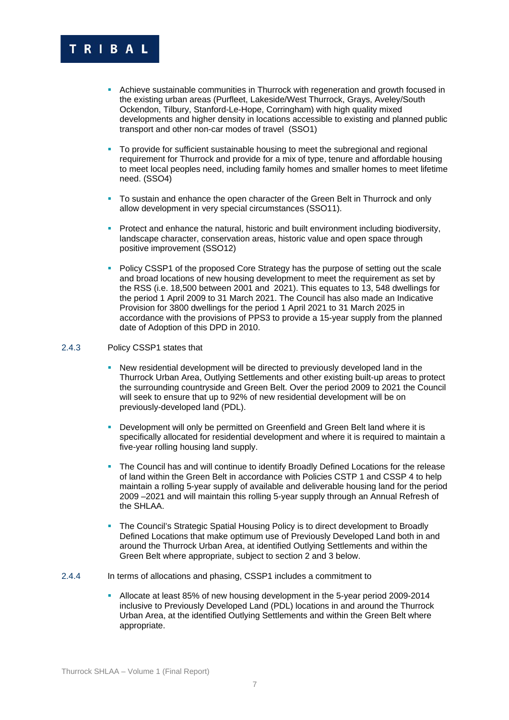- Achieve sustainable communities in Thurrock with regeneration and growth focused in the existing urban areas (Purfleet, Lakeside/West Thurrock, Grays, Aveley/South Ockendon, Tilbury, Stanford-Le-Hope, Corringham) with high quality mixed developments and higher density in locations accessible to existing and planned public transport and other non-car modes of travel (SSO1)
- To provide for sufficient sustainable housing to meet the subregional and regional requirement for Thurrock and provide for a mix of type, tenure and affordable housing to meet local peoples need, including family homes and smaller homes to meet lifetime need. (SSO4)
- To sustain and enhance the open character of the Green Belt in Thurrock and only allow development in very special circumstances (SSO11).
- Protect and enhance the natural, historic and built environment including biodiversity, landscape character, conservation areas, historic value and open space through positive improvement (SSO12)
- Policy CSSP1 of the proposed Core Strategy has the purpose of setting out the scale and broad locations of new housing development to meet the requirement as set by the RSS (i.e. 18,500 between 2001 and 2021). This equates to 13, 548 dwellings for the period 1 April 2009 to 31 March 2021. The Council has also made an Indicative Provision for 3800 dwellings for the period 1 April 2021 to 31 March 2025 in accordance with the provisions of PPS3 to provide a 15-year supply from the planned date of Adoption of this DPD in 2010.

#### 2.4.3 Policy CSSP1 states that

- New residential development will be directed to previously developed land in the Thurrock Urban Area, Outlying Settlements and other existing built-up areas to protect the surrounding countryside and Green Belt. Over the period 2009 to 2021 the Council will seek to ensure that up to 92% of new residential development will be on previously-developed land (PDL).
- Development will only be permitted on Greenfield and Green Belt land where it is specifically allocated for residential development and where it is required to maintain a five-year rolling housing land supply.
- The Council has and will continue to identify Broadly Defined Locations for the release of land within the Green Belt in accordance with Policies CSTP 1 and CSSP 4 to help maintain a rolling 5-year supply of available and deliverable housing land for the period 2009 –2021 and will maintain this rolling 5-year supply through an Annual Refresh of the SHLAA.
- The Council's Strategic Spatial Housing Policy is to direct development to Broadly Defined Locations that make optimum use of Previously Developed Land both in and around the Thurrock Urban Area, at identified Outlying Settlements and within the Green Belt where appropriate, subject to section 2 and 3 below.
- 2.4.4 In terms of allocations and phasing, CSSP1 includes a commitment to
	- Allocate at least 85% of new housing development in the 5-year period 2009-2014 inclusive to Previously Developed Land (PDL) locations in and around the Thurrock Urban Area, at the identified Outlying Settlements and within the Green Belt where appropriate.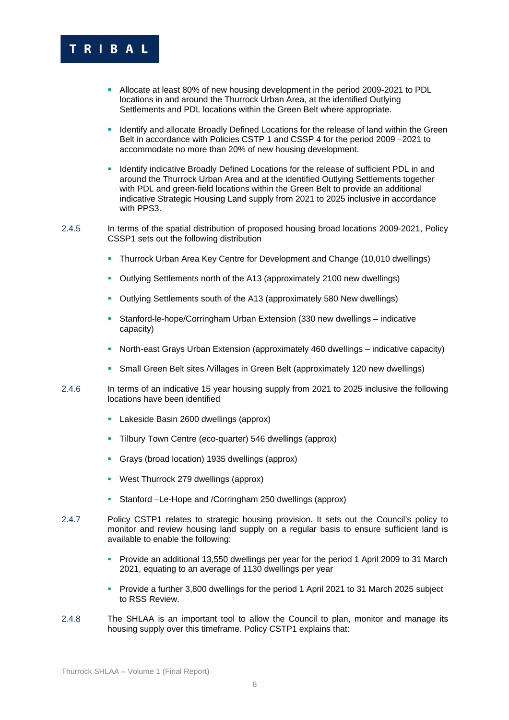- Allocate at least 80% of new housing development in the period 2009-2021 to PDL locations in and around the Thurrock Urban Area, at the identified Outlying Settlements and PDL locations within the Green Belt where appropriate.
- Identify and allocate Broadly Defined Locations for the release of land within the Green Belt in accordance with Policies CSTP 1 and CSSP 4 for the period 2009 –2021 to accommodate no more than 20% of new housing development.
- **IDENTIFY Indicative Broadly Defined Locations for the release of sufficient PDL in and** around the Thurrock Urban Area and at the identified Outlying Settlements together with PDL and green-field locations within the Green Belt to provide an additional indicative Strategic Housing Land supply from 2021 to 2025 inclusive in accordance with PPS3.
- 2.4.5 In terms of the spatial distribution of proposed housing broad locations 2009-2021, Policy CSSP1 sets out the following distribution
	- Thurrock Urban Area Key Centre for Development and Change (10,010 dwellings)
	- Outlying Settlements north of the A13 (approximately 2100 new dwellings)
	- Outlying Settlements south of the A13 (approximately 580 New dwellings)
	- Stanford-le-hope/Corringham Urban Extension (330 new dwellings indicative capacity)
	- North-east Grays Urban Extension (approximately 460 dwellings indicative capacity)
	- Small Green Belt sites /Villages in Green Belt (approximately 120 new dwellings)
- 2.4.6 In terms of an indicative 15 year housing supply from 2021 to 2025 inclusive the following locations have been identified
	- Lakeside Basin 2600 dwellings (approx)
	- Tilbury Town Centre (eco-quarter) 546 dwellings (approx)
	- Grays (broad location) 1935 dwellings (approx)
	- **West Thurrock 279 dwellings (approx)**
	- Stanford –Le-Hope and /Corringham 250 dwellings (approx)
- 2.4.7 Policy CSTP1 relates to strategic housing provision. It sets out the Council's policy to monitor and review housing land supply on a regular basis to ensure sufficient land is available to enable the following:
	- Provide an additional 13,550 dwellings per year for the period 1 April 2009 to 31 March 2021, equating to an average of 1130 dwellings per year
	- Provide a further 3,800 dwellings for the period 1 April 2021 to 31 March 2025 subject to RSS Review.
- 2.4.8 The SHLAA is an important tool to allow the Council to plan, monitor and manage its housing supply over this timeframe. Policy CSTP1 explains that: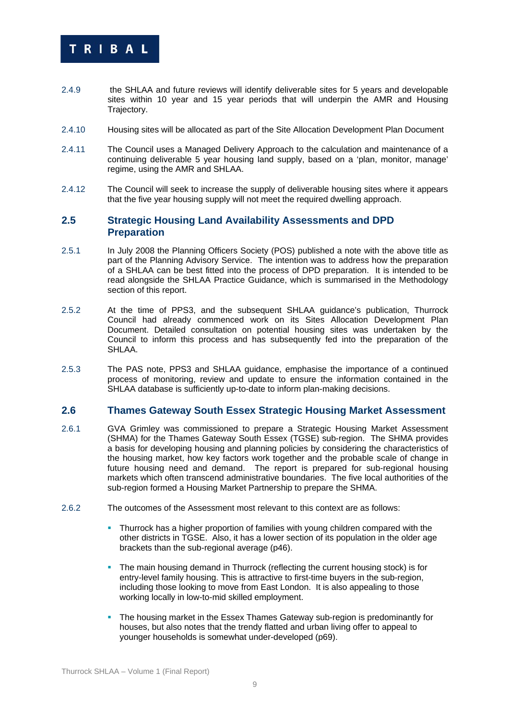- 2.4.9 the SHLAA and future reviews will identify deliverable sites for 5 years and developable sites within 10 year and 15 year periods that will underpin the AMR and Housing Trajectory.
- 2.4.10 Housing sites will be allocated as part of the Site Allocation Development Plan Document
- 2.4.11 The Council uses a Managed Delivery Approach to the calculation and maintenance of a continuing deliverable 5 year housing land supply, based on a 'plan, monitor, manage' regime, using the AMR and SHLAA.
- 2.4.12 The Council will seek to increase the supply of deliverable housing sites where it appears that the five year housing supply will not meet the required dwelling approach.

# **2.5 Strategic Housing Land Availability Assessments and DPD Preparation**

- 2.5.1 In July 2008 the Planning Officers Society (POS) published a note with the above title as part of the Planning Advisory Service. The intention was to address how the preparation of a SHLAA can be best fitted into the process of DPD preparation. It is intended to be read alongside the SHLAA Practice Guidance, which is summarised in the Methodology section of this report.
- 2.5.2 At the time of PPS3, and the subsequent SHLAA guidance's publication, Thurrock Council had already commenced work on its Sites Allocation Development Plan Document. Detailed consultation on potential housing sites was undertaken by the Council to inform this process and has subsequently fed into the preparation of the SHLAA.
- 2.5.3 The PAS note, PPS3 and SHLAA guidance, emphasise the importance of a continued process of monitoring, review and update to ensure the information contained in the SHLAA database is sufficiently up-to-date to inform plan-making decisions.

#### **2.6 Thames Gateway South Essex Strategic Housing Market Assessment**

- 2.6.1 GVA Grimley was commissioned to prepare a Strategic Housing Market Assessment (SHMA) for the Thames Gateway South Essex (TGSE) sub-region. The SHMA provides a basis for developing housing and planning policies by considering the characteristics of the housing market, how key factors work together and the probable scale of change in future housing need and demand. The report is prepared for sub-regional housing markets which often transcend administrative boundaries. The five local authorities of the sub-region formed a Housing Market Partnership to prepare the SHMA.
- 2.6.2 The outcomes of the Assessment most relevant to this context are as follows:
	- Thurrock has a higher proportion of families with young children compared with the other districts in TGSE. Also, it has a lower section of its population in the older age brackets than the sub-regional average (p46).
	- The main housing demand in Thurrock (reflecting the current housing stock) is for entry-level family housing. This is attractive to first-time buyers in the sub-region. including those looking to move from East London. It is also appealing to those working locally in low-to-mid skilled employment.
	- The housing market in the Essex Thames Gateway sub-region is predominantly for houses, but also notes that the trendy flatted and urban living offer to appeal to younger households is somewhat under-developed (p69).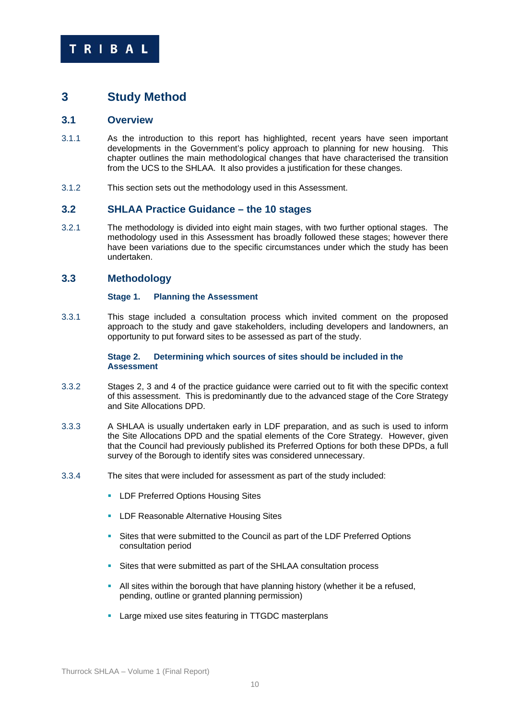# **3 Study Method**

#### **3.1 Overview**

- 3.1.1 As the introduction to this report has highlighted, recent years have seen important developments in the Government's policy approach to planning for new housing. This chapter outlines the main methodological changes that have characterised the transition from the UCS to the SHLAA. It also provides a justification for these changes.
- 3.1.2 This section sets out the methodology used in this Assessment.

#### **3.2 SHLAA Practice Guidance – the 10 stages**

3.2.1 The methodology is divided into eight main stages, with two further optional stages. The methodology used in this Assessment has broadly followed these stages; however there have been variations due to the specific circumstances under which the study has been undertaken.

#### **3.3 Methodology**

#### **Stage 1. Planning the Assessment**

3.3.1 This stage included a consultation process which invited comment on the proposed approach to the study and gave stakeholders, including developers and landowners, an opportunity to put forward sites to be assessed as part of the study.

#### **Stage 2. Determining which sources of sites should be included in the Assessment**

- 3.3.2 Stages 2, 3 and 4 of the practice guidance were carried out to fit with the specific context of this assessment. This is predominantly due to the advanced stage of the Core Strategy and Site Allocations DPD.
- 3.3.3 A SHLAA is usually undertaken early in LDF preparation, and as such is used to inform the Site Allocations DPD and the spatial elements of the Core Strategy. However, given that the Council had previously published its Preferred Options for both these DPDs, a full survey of the Borough to identify sites was considered unnecessary.
- 3.3.4 The sites that were included for assessment as part of the study included:
	- **LDF Preferred Options Housing Sites**
	- **LDF Reasonable Alternative Housing Sites**
	- Sites that were submitted to the Council as part of the LDF Preferred Options consultation period
	- Sites that were submitted as part of the SHLAA consultation process
	- All sites within the borough that have planning history (whether it be a refused, pending, outline or granted planning permission)
	- **Large mixed use sites featuring in TTGDC masterplans**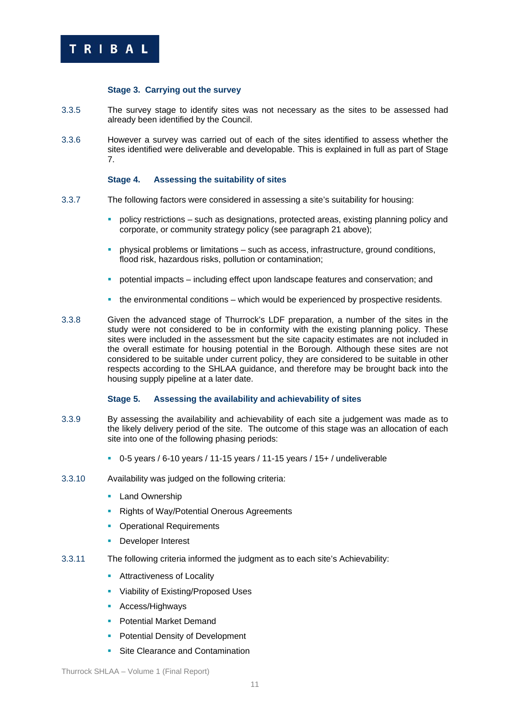#### **Stage 3. Carrying out the survey**

- 3.3.5 The survey stage to identify sites was not necessary as the sites to be assessed had already been identified by the Council.
- 3.3.6 However a survey was carried out of each of the sites identified to assess whether the sites identified were deliverable and developable. This is explained in full as part of Stage 7.

#### **Stage 4. Assessing the suitability of sites**

- 3.3.7 The following factors were considered in assessing a site's suitability for housing:
	- policy restrictions such as designations, protected areas, existing planning policy and corporate, or community strategy policy (see paragraph 21 above);
	- physical problems or limitations such as access, infrastructure, ground conditions, flood risk, hazardous risks, pollution or contamination;
	- potential impacts including effect upon landscape features and conservation; and
	- $\blacksquare$  the environmental conditions which would be experienced by prospective residents.
- 3.3.8 Given the advanced stage of Thurrock's LDF preparation, a number of the sites in the study were not considered to be in conformity with the existing planning policy. These sites were included in the assessment but the site capacity estimates are not included in the overall estimate for housing potential in the Borough. Although these sites are not considered to be suitable under current policy, they are considered to be suitable in other respects according to the SHLAA guidance, and therefore may be brought back into the housing supply pipeline at a later date.

#### **Stage 5. Assessing the availability and achievability of sites**

- 3.3.9 By assessing the availability and achievability of each site a judgement was made as to the likely delivery period of the site. The outcome of this stage was an allocation of each site into one of the following phasing periods:
	- 0-5 years / 6-10 years / 11-15 years / 11-15 years / 15+ / undeliverable
- 3.3.10 Availability was judged on the following criteria:
	- Land Ownership
	- Rights of Way/Potential Onerous Agreements
	- **Operational Requirements**
	- Developer Interest
- 3.3.11 The following criteria informed the judgment as to each site's Achievability:
	- **Attractiveness of Locality**
	- **Viability of Existing/Proposed Uses**
	- **Access/Highways**
	- **Potential Market Demand**
	- Potential Density of Development
	- Site Clearance and Contamination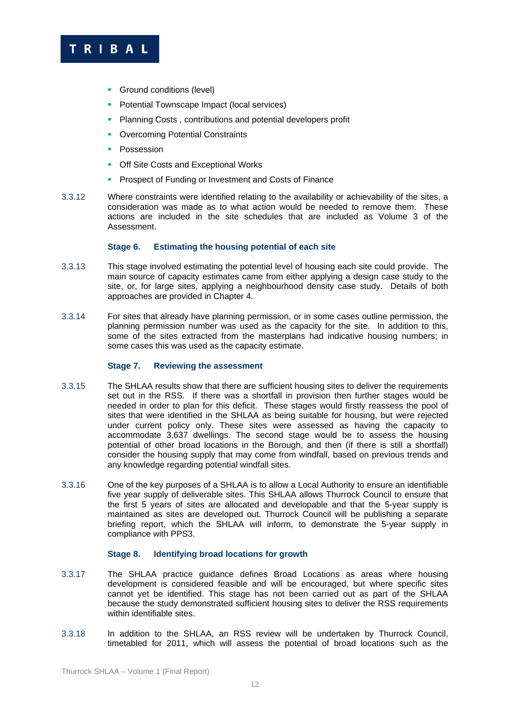- **Ground conditions (level)**
- Potential Townscape Impact (local services)
- Planning Costs , contributions and potential developers profit
- Overcoming Potential Constraints
- Possession
- Off Site Costs and Exceptional Works
- Prospect of Funding or Investment and Costs of Finance
- 3.3.12 Where constraints were identified relating to the availability or achievability of the sites, a consideration was made as to what action would be needed to remove them. These actions are included in the site schedules that are included as Volume 3 of the Assessment.

#### **Stage 6. Estimating the housing potential of each site**

- 3.3.13 This stage involved estimating the potential level of housing each site could provide. The main source of capacity estimates came from either applying a design case study to the site, or, for large sites, applying a neighbourhood density case study. Details of both approaches are provided in Chapter 4.
- 3.3.14 For sites that already have planning permission, or in some cases outline permission, the planning permission number was used as the capacity for the site. In addition to this, some of the sites extracted from the masterplans had indicative housing numbers; in some cases this was used as the capacity estimate.

#### **Stage 7. Reviewing the assessment**

- 3.3.15 The SHLAA results show that there are sufficient housing sites to deliver the requirements set out in the RSS. If there was a shortfall in provision then further stages would be needed in order to plan for this deficit. These stages would firstly reassess the pool of sites that were identified in the SHLAA as being suitable for housing, but were rejected under current policy only. These sites were assessed as having the capacity to accommodate 3,637 dwellings. The second stage would be to assess the housing potential of other broad locations in the Borough, and then (if there is still a shortfall) consider the housing supply that may come from windfall, based on previous trends and any knowledge regarding potential windfall sites.
- 3.3.16 One of the key purposes of a SHLAA is to allow a Local Authority to ensure an identifiable five year supply of deliverable sites. This SHLAA allows Thurrock Council to ensure that the first 5 years of sites are allocated and developable and that the 5-year supply is maintained as sites are developed out. Thurrock Council will be publishing a separate briefing report, which the SHLAA will inform, to demonstrate the 5-year supply in compliance with PPS3.

#### **Stage 8. Identifying broad locations for growth**

- 3.3.17 The SHLAA practice guidance defines Broad Locations as areas where housing development is considered feasible and will be encouraged, but where specific sites cannot yet be identified. This stage has not been carried out as part of the SHLAA because the study demonstrated sufficient housing sites to deliver the RSS requirements within identifiable sites.
- 3.3.18 In addition to the SHLAA, an RSS review will be undertaken by Thurrock Council, timetabled for 2011, which will assess the potential of broad locations such as the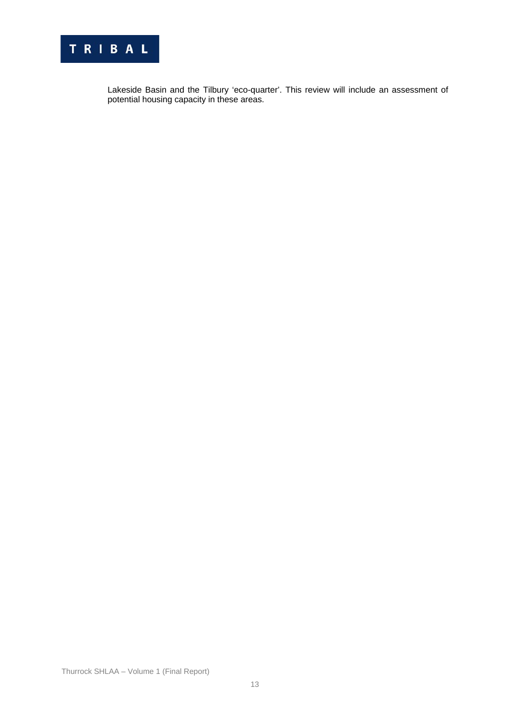

Lakeside Basin and the Tilbury 'eco-quarter'. This review will include an assessment of potential housing capacity in these areas.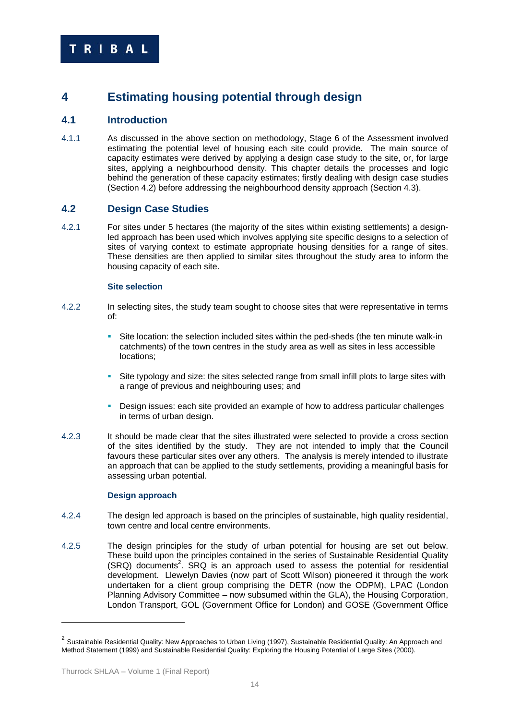# **4 Estimating housing potential through design**

### **4.1 Introduction**

4.1.1 As discussed in the above section on methodology, Stage 6 of the Assessment involved estimating the potential level of housing each site could provide. The main source of capacity estimates were derived by applying a design case study to the site, or, for large sites, applying a neighbourhood density. This chapter details the processes and logic behind the generation of these capacity estimates; firstly dealing with design case studies (Section 4.2) before addressing the neighbourhood density approach (Section 4.3).

### **4.2 Design Case Studies**

4.2.1 For sites under 5 hectares (the majority of the sites within existing settlements) a designled approach has been used which involves applying site specific designs to a selection of sites of varying context to estimate appropriate housing densities for a range of sites. These densities are then applied to similar sites throughout the study area to inform the housing capacity of each site.

#### **Site selection**

- 4.2.2 In selecting sites, the study team sought to choose sites that were representative in terms of:
	- Site location: the selection included sites within the ped-sheds (the ten minute walk-in catchments) of the town centres in the study area as well as sites in less accessible locations;
	- Site typology and size: the sites selected range from small infill plots to large sites with a range of previous and neighbouring uses; and
	- Design issues: each site provided an example of how to address particular challenges in terms of urban design.
- 4.2.3 It should be made clear that the sites illustrated were selected to provide a cross section of the sites identified by the study. They are not intended to imply that the Council favours these particular sites over any others. The analysis is merely intended to illustrate an approach that can be applied to the study settlements, providing a meaningful basis for assessing urban potential.

#### **Design approach**

- 4.2.4 The design led approach is based on the principles of sustainable, high quality residential, town centre and local centre environments.
- 4.2.5 The design principles for the study of urban potential for housing are set out below. These build upon the principles contained in the series of Sustainable Residential Quality  $(SRQ)$  documents<sup>2</sup>. SRQ is an approach used to assess the potential for residential development. Llewelyn Davies (now part of Scott Wilson) pioneered it through the work undertaken for a client group comprising the DETR (now the ODPM), LPAC (London Planning Advisory Committee – now subsumed within the GLA), the Housing Corporation, London Transport, GOL (Government Office for London) and GOSE (Government Office

-

<sup>&</sup>lt;sup>2</sup> Sustainable Residential Quality: New Approaches to Urban Living (1997), Sustainable Residential Quality: An Approach and Method Statement (1999) and Sustainable Residential Quality: Exploring the Housing Potential of Large Sites (2000).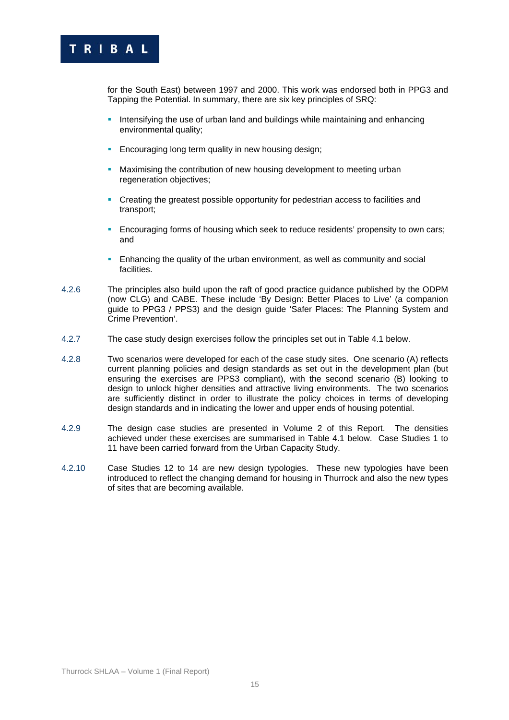for the South East) between 1997 and 2000. This work was endorsed both in PPG3 and Tapping the Potential. In summary, there are six key principles of SRQ:

- Intensifying the use of urban land and buildings while maintaining and enhancing environmental quality;
- **Encouraging long term quality in new housing design;**
- Maximising the contribution of new housing development to meeting urban regeneration objectives;
- Creating the greatest possible opportunity for pedestrian access to facilities and transport;
- Encouraging forms of housing which seek to reduce residents' propensity to own cars; and
- Enhancing the quality of the urban environment, as well as community and social facilities.
- 4.2.6 The principles also build upon the raft of good practice guidance published by the ODPM (now CLG) and CABE. These include 'By Design: Better Places to Live' (a companion guide to PPG3 / PPS3) and the design guide 'Safer Places: The Planning System and Crime Prevention'.
- 4.2.7 The case study design exercises follow the principles set out in Table 4.1 below.
- 4.2.8 Two scenarios were developed for each of the case study sites. One scenario (A) reflects current planning policies and design standards as set out in the development plan (but ensuring the exercises are PPS3 compliant), with the second scenario (B) looking to design to unlock higher densities and attractive living environments. The two scenarios are sufficiently distinct in order to illustrate the policy choices in terms of developing design standards and in indicating the lower and upper ends of housing potential.
- 4.2.9 The design case studies are presented in Volume 2 of this Report. The densities achieved under these exercises are summarised in Table 4.1 below. Case Studies 1 to 11 have been carried forward from the Urban Capacity Study.
- 4.2.10 Case Studies 12 to 14 are new design typologies. These new typologies have been introduced to reflect the changing demand for housing in Thurrock and also the new types of sites that are becoming available.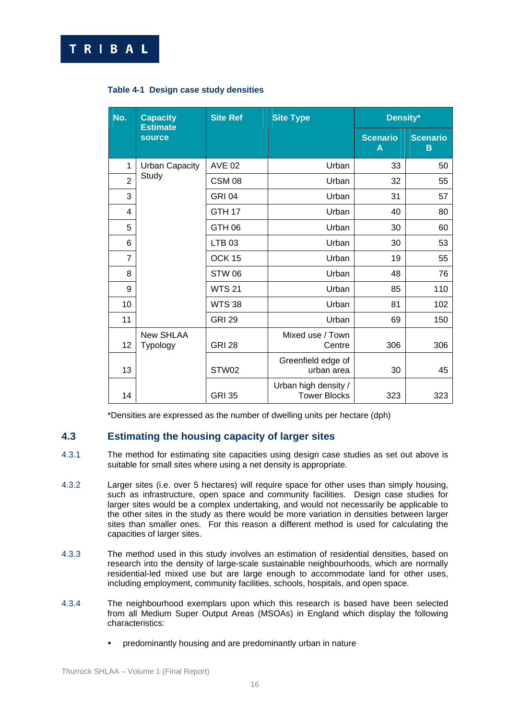|  |  |  |  | Table 4-1 Design case study densities |
|--|--|--|--|---------------------------------------|
|--|--|--|--|---------------------------------------|

| No.            | <b>Capacity</b><br><b>Estimate</b> | <b>Site Ref</b>   | <b>Site Type</b>                            | Density*             |                      |  |
|----------------|------------------------------------|-------------------|---------------------------------------------|----------------------|----------------------|--|
|                | <b>source</b>                      |                   |                                             | <b>Scenario</b><br>A | <b>Scenario</b><br>B |  |
| 1              | <b>Urban Capacity</b>              | <b>AVE 02</b>     | Urban                                       | 33                   | 50                   |  |
| $\overline{2}$ | Study                              | <b>CSM 08</b>     | Urban                                       | 32                   | 55                   |  |
| 3              |                                    | <b>GRI 04</b>     | Urban                                       | 31                   | 57                   |  |
| 4              |                                    | <b>GTH 17</b>     | Urban                                       | 40                   | 80                   |  |
| 5              |                                    | GTH 06            | Urban                                       | 30                   | 60                   |  |
| 6              |                                    | LTB 03            | Urban                                       | 30                   | 53                   |  |
| $\overline{7}$ |                                    | OCK <sub>15</sub> | Urban                                       | 19                   | 55                   |  |
| 8              |                                    | STW <sub>06</sub> | Urban                                       | 48                   | 76                   |  |
| 9              |                                    | <b>WTS 21</b>     | Urban                                       | 85                   | 110                  |  |
| 10             |                                    | <b>WTS 38</b>     | Urban                                       | 81                   | 102                  |  |
| 11             |                                    | <b>GRI 29</b>     | Urban                                       | 69                   | 150                  |  |
| 12             | <b>New SHLAA</b><br>Typology       | <b>GRI 28</b>     | Mixed use / Town<br>Centre                  | 306                  | 306                  |  |
| 13             |                                    | STW02             | Greenfield edge of<br>urban area            | 30                   | 45                   |  |
| 14             |                                    | <b>GRI 35</b>     | Urban high density /<br><b>Tower Blocks</b> | 323                  | 323                  |  |

\*Densities are expressed as the number of dwelling units per hectare (dph)

### **4.3 Estimating the housing capacity of larger sites**

- 4.3.1 The method for estimating site capacities using design case studies as set out above is suitable for small sites where using a net density is appropriate.
- 4.3.2 Larger sites (i.e. over 5 hectares) will require space for other uses than simply housing, such as infrastructure, open space and community facilities. Design case studies for larger sites would be a complex undertaking, and would not necessarily be applicable to the other sites in the study as there would be more variation in densities between larger sites than smaller ones. For this reason a different method is used for calculating the capacities of larger sites.
- 4.3.3 The method used in this study involves an estimation of residential densities, based on research into the density of large-scale sustainable neighbourhoods, which are normally residential-led mixed use but are large enough to accommodate land for other uses, including employment, community facilities, schools, hospitals, and open space.
- 4.3.4 The neighbourhood exemplars upon which this research is based have been selected from all Medium Super Output Areas (MSOAs) in England which display the following characteristics:
	- predominantly housing and are predominantly urban in nature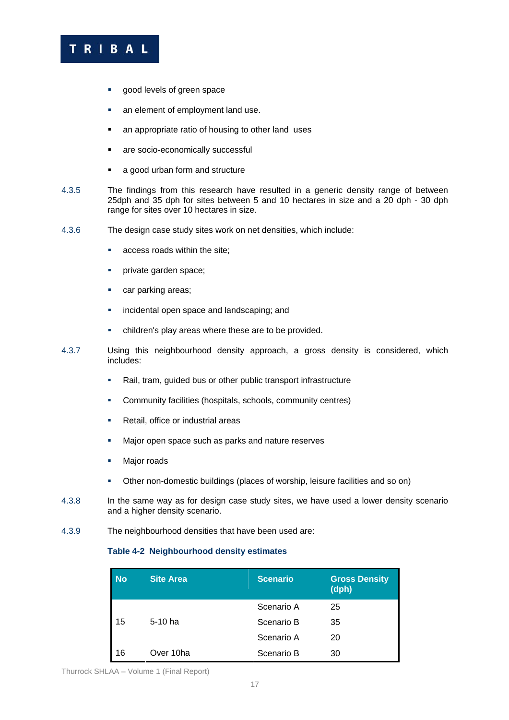- good levels of green space
- an element of employment land use.
- an appropriate ratio of housing to other land uses
- **a** are socio-economically successful
- a good urban form and structure
- 4.3.5 The findings from this research have resulted in a generic density range of between 25dph and 35 dph for sites between 5 and 10 hectares in size and a 20 dph - 30 dph range for sites over 10 hectares in size.
- 4.3.6 The design case study sites work on net densities, which include:
	- access roads within the site;
	- **private garden space;**
	- **car parking areas:**
	- **EXEDENT** incidental open space and landscaping; and
	- children's play areas where these are to be provided.
- 4.3.7 Using this neighbourhood density approach, a gross density is considered, which includes:
	- Rail, tram, guided bus or other public transport infrastructure
	- Community facilities (hospitals, schools, community centres)
	- **Retail, office or industrial areas**
	- **Major open space such as parks and nature reserves**
	- **Major roads**
	- Other non-domestic buildings (places of worship, leisure facilities and so on)
- 4.3.8 In the same way as for design case study sites, we have used a lower density scenario and a higher density scenario.
- 4.3.9 The neighbourhood densities that have been used are:

#### **Table 4-2 Neighbourhood density estimates**

| $N$ o | <b>Site Area</b> | <b>Scenario</b> | <b>Gross Density</b><br>(dph) |
|-------|------------------|-----------------|-------------------------------|
|       |                  | Scenario A      | 25                            |
| 15    | $5-10$ ha        | Scenario B      | 35                            |
|       |                  | Scenario A      | 20                            |
| 16    | Over 10ha        | Scenario B      | 30                            |

Thurrock SHLAA – Volume 1 (Final Report)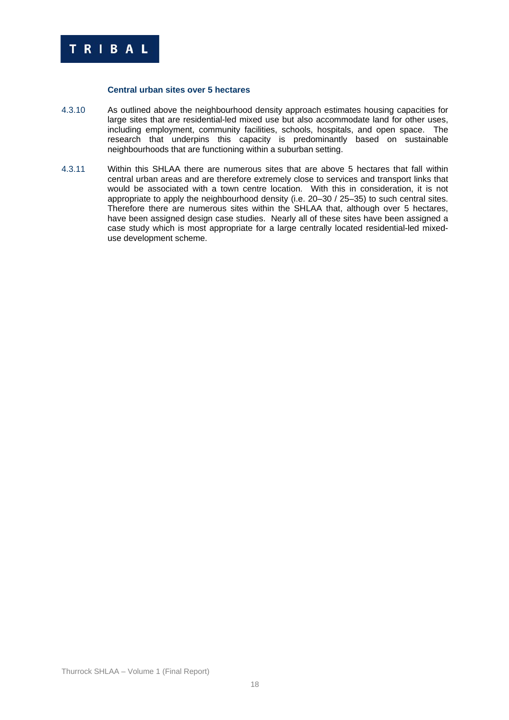

#### **Central urban sites over 5 hectares**

- 4.3.10 As outlined above the neighbourhood density approach estimates housing capacities for large sites that are residential-led mixed use but also accommodate land for other uses, including employment, community facilities, schools, hospitals, and open space. The research that underpins this capacity is predominantly based on sustainable neighbourhoods that are functioning within a suburban setting.
- 4.3.11 Within this SHLAA there are numerous sites that are above 5 hectares that fall within central urban areas and are therefore extremely close to services and transport links that would be associated with a town centre location. With this in consideration, it is not appropriate to apply the neighbourhood density (i.e. 20–30 / 25–35) to such central sites. Therefore there are numerous sites within the SHLAA that, although over 5 hectares, have been assigned design case studies. Nearly all of these sites have been assigned a case study which is most appropriate for a large centrally located residential-led mixeduse development scheme.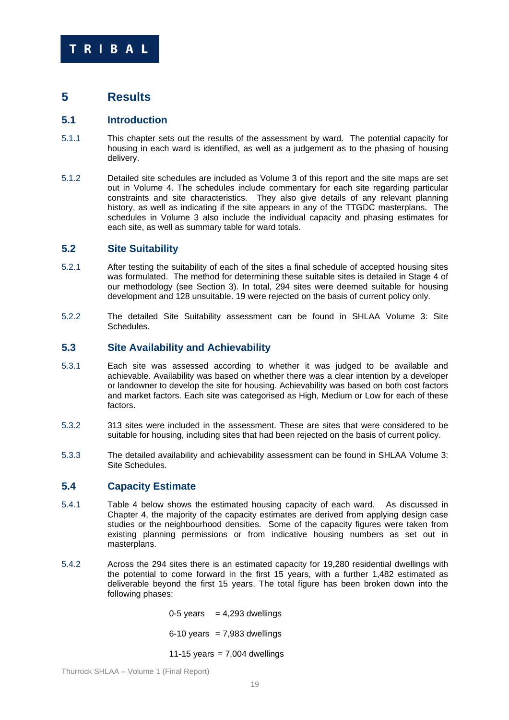# **5 Results**

# **5.1 Introduction**

- 5.1.1 This chapter sets out the results of the assessment by ward. The potential capacity for housing in each ward is identified, as well as a judgement as to the phasing of housing delivery.
- 5.1.2 Detailed site schedules are included as Volume 3 of this report and the site maps are set out in Volume 4. The schedules include commentary for each site regarding particular constraints and site characteristics. They also give details of any relevant planning history, as well as indicating if the site appears in any of the TTGDC masterplans. The schedules in Volume 3 also include the individual capacity and phasing estimates for each site, as well as summary table for ward totals.

#### **5.2 Site Suitability**

- 5.2.1 After testing the suitability of each of the sites a final schedule of accepted housing sites was formulated. The method for determining these suitable sites is detailed in Stage 4 of our methodology (see Section 3). In total, 294 sites were deemed suitable for housing development and 128 unsuitable. 19 were rejected on the basis of current policy only.
- 5.2.2 The detailed Site Suitability assessment can be found in SHLAA Volume 3: Site **Schedules**

### **5.3 Site Availability and Achievability**

- 5.3.1 Each site was assessed according to whether it was judged to be available and achievable. Availability was based on whether there was a clear intention by a developer or landowner to develop the site for housing. Achievability was based on both cost factors and market factors. Each site was categorised as High, Medium or Low for each of these factors.
- 5.3.2 313 sites were included in the assessment. These are sites that were considered to be suitable for housing, including sites that had been rejected on the basis of current policy.
- 5.3.3 The detailed availability and achievability assessment can be found in SHLAA Volume 3: Site Schedules.

### **5.4 Capacity Estimate**

- 5.4.1 Table 4 below shows the estimated housing capacity of each ward. As discussed in Chapter 4, the majority of the capacity estimates are derived from applying design case studies or the neighbourhood densities. Some of the capacity figures were taken from existing planning permissions or from indicative housing numbers as set out in masterplans.
- 5.4.2 Across the 294 sites there is an estimated capacity for 19,280 residential dwellings with the potential to come forward in the first 15 years, with a further 1,482 estimated as deliverable beyond the first 15 years. The total figure has been broken down into the following phases:

 $0-5$  years = 4,293 dwellings  $6-10$  years = 7,983 dwellings 11-15 years  $= 7,004$  dwellings

Thurrock SHLAA – Volume 1 (Final Report)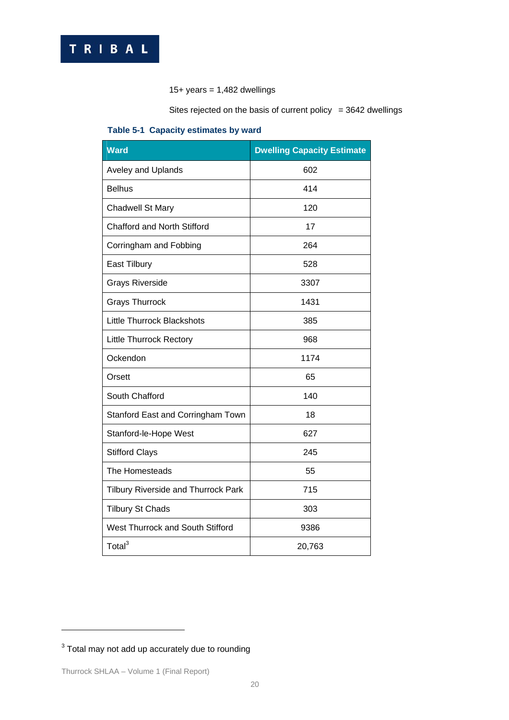15+ years =  $1,482$  dwellings

Sites rejected on the basis of current policy  $= 3642$  dwellings

# **Table 5-1 Capacity estimates by ward**

| <b>Ward</b>                                | <b>Dwelling Capacity Estimate</b> |
|--------------------------------------------|-----------------------------------|
| Aveley and Uplands                         | 602                               |
| <b>Belhus</b>                              | 414                               |
| Chadwell St Mary                           | 120                               |
| <b>Chafford and North Stifford</b>         | 17                                |
| Corringham and Fobbing                     | 264                               |
| East Tilbury                               | 528                               |
| <b>Grays Riverside</b>                     | 3307                              |
| <b>Grays Thurrock</b>                      | 1431                              |
| <b>Little Thurrock Blackshots</b>          | 385                               |
| <b>Little Thurrock Rectory</b>             | 968                               |
| Ockendon                                   | 1174                              |
| Orsett                                     | 65                                |
| South Chafford                             | 140                               |
| Stanford East and Corringham Town          | 18                                |
| Stanford-le-Hope West                      | 627                               |
| <b>Stifford Clays</b>                      | 245                               |
| The Homesteads                             | 55                                |
| <b>Tilbury Riverside and Thurrock Park</b> | 715                               |
| <b>Tilbury St Chads</b>                    | 303                               |
| West Thurrock and South Stifford           | 9386                              |
| Total <sup>3</sup>                         | 20,763                            |

-

 $3$  Total may not add up accurately due to rounding

Thurrock SHLAA – Volume 1 (Final Report)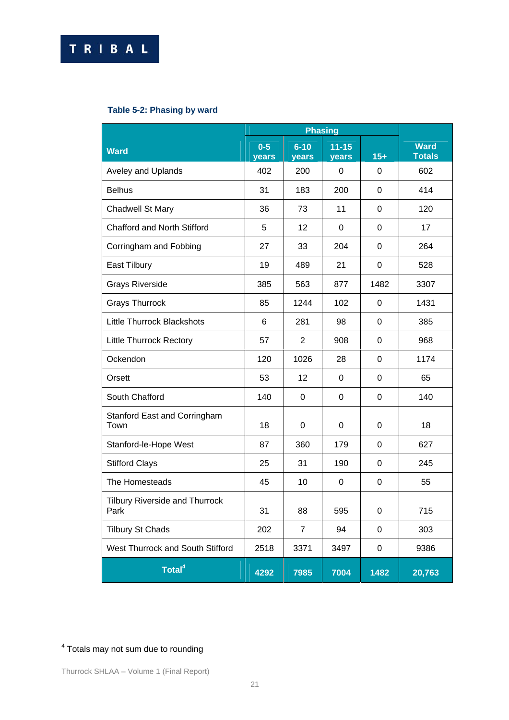# **Table 5-2: Phasing by ward**

| <b>Ward</b>                                   | $0-5$<br>years | $6 - 10$<br>years | $11 - 15$<br>years | $15+$       | <b>Ward</b><br><b>Totals</b> |
|-----------------------------------------------|----------------|-------------------|--------------------|-------------|------------------------------|
| <b>Aveley and Uplands</b>                     | 402            | 200               | 0                  | 0           | 602                          |
| <b>Belhus</b>                                 | 31             | 183               | 200                | $\Omega$    | 414                          |
| Chadwell St Mary                              | 36             | 73                | 11                 | 0           | 120                          |
| <b>Chafford and North Stifford</b>            | 5              | 12                | 0                  | 0           | 17                           |
| Corringham and Fobbing                        | 27             | 33                | 204                | 0           | 264                          |
| East Tilbury                                  | 19             | 489               | 21                 | 0           | 528                          |
| <b>Grays Riverside</b>                        | 385            | 563               | 877                | 1482        | 3307                         |
| <b>Grays Thurrock</b>                         | 85             | 1244              | 102                | 0           | 1431                         |
| <b>Little Thurrock Blackshots</b>             | 6              | 281               | 98                 | 0           | 385                          |
| <b>Little Thurrock Rectory</b>                | 57             | $\overline{2}$    | 908                | 0           | 968                          |
| Ockendon                                      | 120            | 1026              | 28                 | 0           | 1174                         |
| Orsett                                        | 53             | 12                | 0                  | 0           | 65                           |
| South Chafford                                | 140            | 0                 | 0                  | 0           | 140                          |
| <b>Stanford East and Corringham</b><br>Town   | 18             | 0                 | 0                  | 0           | 18                           |
| Stanford-le-Hope West                         | 87             | 360               | 179                | $\Omega$    | 627                          |
| <b>Stifford Clays</b>                         | 25             | 31                | 190                | 0           | 245                          |
| The Homesteads                                | 45             | 10                | 0                  | 0           | 55                           |
| <b>Tilbury Riverside and Thurrock</b><br>Park | 31             | 88                | 595                | 0           | 715                          |
| <b>Tilbury St Chads</b>                       | 202            | $\overline{7}$    | 94                 | 0           | 303                          |
| West Thurrock and South Stifford              | 2518           | 3371              | 3497               | $\mathbf 0$ | 9386                         |
| Total <sup>4</sup>                            | 4292           | 7985              | 7004               | 1482        | 20,763                       |

-

 $4$  Totals may not sum due to rounding

Thurrock SHLAA – Volume 1 (Final Report)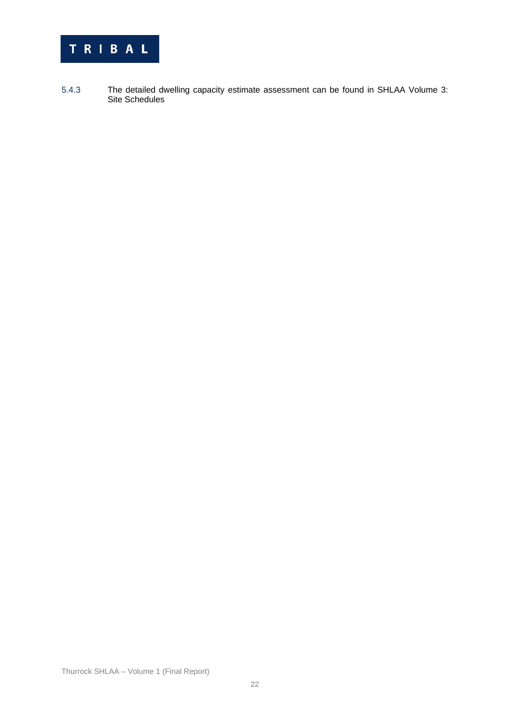

5.4.3 The detailed dwelling capacity estimate assessment can be found in SHLAA Volume 3: Site Schedules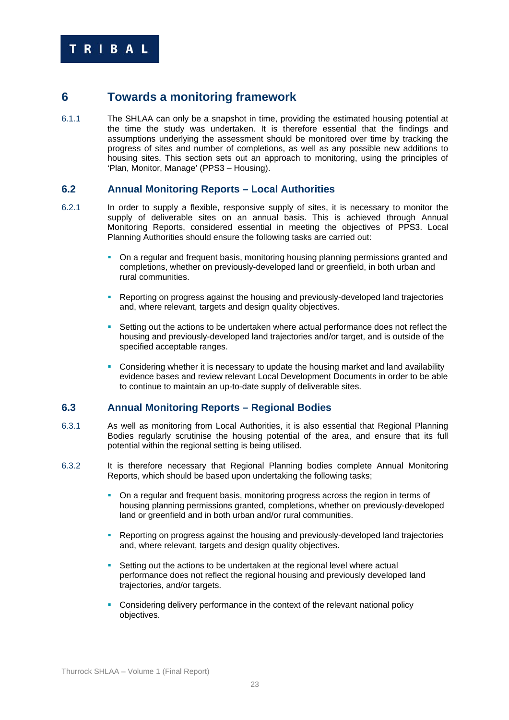# **6 Towards a monitoring framework**

6.1.1 The SHLAA can only be a snapshot in time, providing the estimated housing potential at the time the study was undertaken. It is therefore essential that the findings and assumptions underlying the assessment should be monitored over time by tracking the progress of sites and number of completions, as well as any possible new additions to housing sites. This section sets out an approach to monitoring, using the principles of 'Plan, Monitor, Manage' (PPS3 – Housing).

### **6.2 Annual Monitoring Reports – Local Authorities**

- 6.2.1 In order to supply a flexible, responsive supply of sites, it is necessary to monitor the supply of deliverable sites on an annual basis. This is achieved through Annual Monitoring Reports, considered essential in meeting the objectives of PPS3. Local Planning Authorities should ensure the following tasks are carried out:
	- On a regular and frequent basis, monitoring housing planning permissions granted and completions, whether on previously-developed land or greenfield, in both urban and rural communities.
	- Reporting on progress against the housing and previously-developed land trajectories and, where relevant, targets and design quality objectives.
	- Setting out the actions to be undertaken where actual performance does not reflect the housing and previously-developed land trajectories and/or target, and is outside of the specified acceptable ranges.
	- Considering whether it is necessary to update the housing market and land availability evidence bases and review relevant Local Development Documents in order to be able to continue to maintain an up-to-date supply of deliverable sites.

### **6.3 Annual Monitoring Reports – Regional Bodies**

- 6.3.1 As well as monitoring from Local Authorities, it is also essential that Regional Planning Bodies regularly scrutinise the housing potential of the area, and ensure that its full potential within the regional setting is being utilised.
- 6.3.2 It is therefore necessary that Regional Planning bodies complete Annual Monitoring Reports, which should be based upon undertaking the following tasks;
	- On a regular and frequent basis, monitoring progress across the region in terms of housing planning permissions granted, completions, whether on previously-developed land or greenfield and in both urban and/or rural communities.
	- Reporting on progress against the housing and previously-developed land trajectories and, where relevant, targets and design quality objectives.
	- Setting out the actions to be undertaken at the regional level where actual performance does not reflect the regional housing and previously developed land trajectories, and/or targets.
	- Considering delivery performance in the context of the relevant national policy objectives.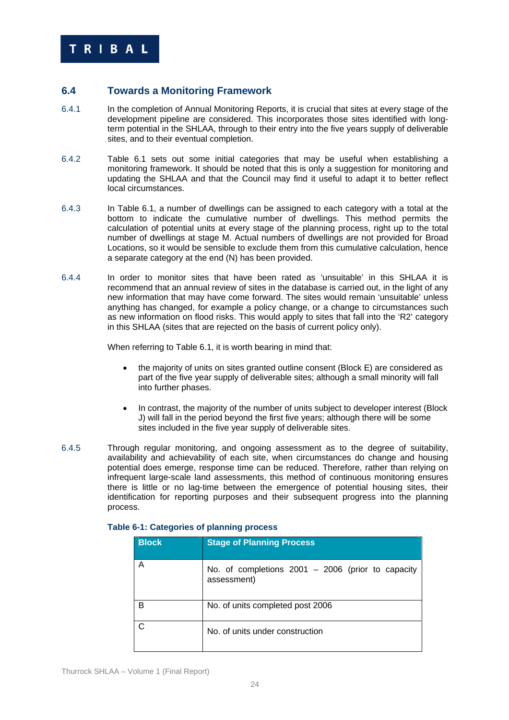### **6.4 Towards a Monitoring Framework**

- 6.4.1 In the completion of Annual Monitoring Reports, it is crucial that sites at every stage of the development pipeline are considered. This incorporates those sites identified with longterm potential in the SHLAA, through to their entry into the five years supply of deliverable sites, and to their eventual completion.
- 6.4.2 Table 6.1 sets out some initial categories that may be useful when establishing a monitoring framework. It should be noted that this is only a suggestion for monitoring and updating the SHLAA and that the Council may find it useful to adapt it to better reflect local circumstances.
- 6.4.3 In Table 6.1, a number of dwellings can be assigned to each category with a total at the bottom to indicate the cumulative number of dwellings. This method permits the calculation of potential units at every stage of the planning process, right up to the total number of dwellings at stage M. Actual numbers of dwellings are not provided for Broad Locations, so it would be sensible to exclude them from this cumulative calculation, hence a separate category at the end (N) has been provided.
- 6.4.4 In order to monitor sites that have been rated as 'unsuitable' in this SHLAA it is recommend that an annual review of sites in the database is carried out, in the light of any new information that may have come forward. The sites would remain 'unsuitable' unless anything has changed, for example a policy change, or a change to circumstances such as new information on flood risks. This would apply to sites that fall into the 'R2' category in this SHLAA (sites that are rejected on the basis of current policy only).

When referring to Table 6.1, it is worth bearing in mind that:

- the majority of units on sites granted outline consent (Block E) are considered as part of the five year supply of deliverable sites; although a small minority will fall into further phases.
- In contrast, the majority of the number of units subject to developer interest (Block J) will fall in the period beyond the first five years; although there will be some sites included in the five year supply of deliverable sites.
- 6.4.5 Through regular monitoring, and ongoing assessment as to the degree of suitability, availability and achievability of each site, when circumstances do change and housing potential does emerge, response time can be reduced. Therefore, rather than relying on infrequent large-scale land assessments, this method of continuous monitoring ensures there is little or no lag-time between the emergence of potential housing sites, their identification for reporting purposes and their subsequent progress into the planning process.

| <b>Block</b> | <b>Stage of Planning Process</b>                                   |
|--------------|--------------------------------------------------------------------|
| А            | No. of completions $2001 - 2006$ (prior to capacity<br>assessment) |
| в            | No. of units completed post 2006                                   |
|              | No. of units under construction                                    |

#### **Table 6-1: Categories of planning process**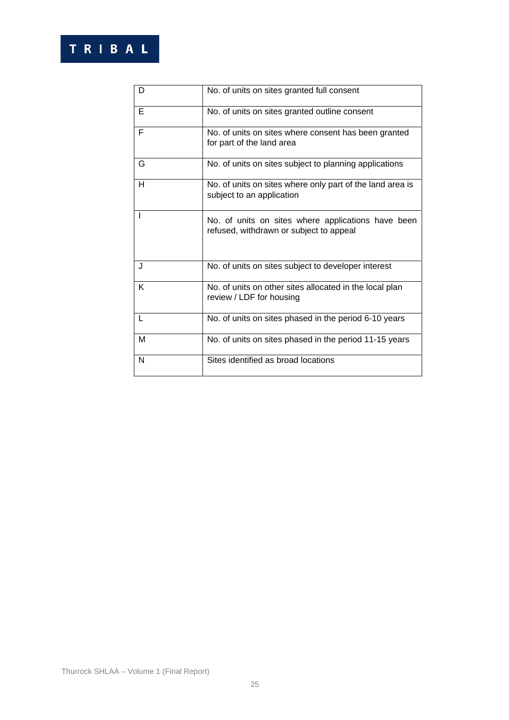| D | No. of units on sites granted full consent                                                    |
|---|-----------------------------------------------------------------------------------------------|
| Е | No. of units on sites granted outline consent                                                 |
| F | No. of units on sites where consent has been granted<br>for part of the land area             |
| G | No. of units on sites subject to planning applications                                        |
| н | No. of units on sites where only part of the land area is<br>subject to an application        |
|   | No. of units on sites where applications have been<br>refused, withdrawn or subject to appeal |
| J | No. of units on sites subject to developer interest                                           |
| K | No. of units on other sites allocated in the local plan<br>review / LDF for housing           |
|   | No. of units on sites phased in the period 6-10 years                                         |
| М | No. of units on sites phased in the period 11-15 years                                        |
| N | Sites identified as broad locations                                                           |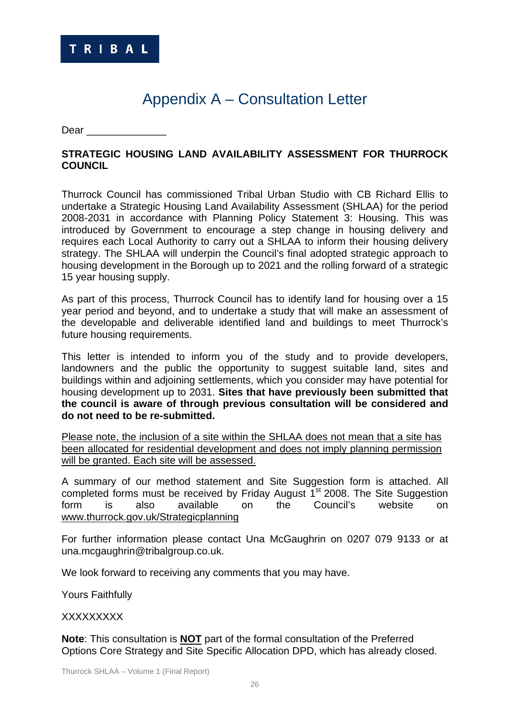

# Appendix A – Consultation Letter

Dear \_\_\_\_\_\_\_\_\_\_\_\_\_\_

# **STRATEGIC HOUSING LAND AVAILABILITY ASSESSMENT FOR THURROCK COUNCIL**

Thurrock Council has commissioned Tribal Urban Studio with CB Richard Ellis to undertake a Strategic Housing Land Availability Assessment (SHLAA) for the period 2008-2031 in accordance with Planning Policy Statement 3: Housing. This was introduced by Government to encourage a step change in housing delivery and requires each Local Authority to carry out a SHLAA to inform their housing delivery strategy. The SHLAA will underpin the Council's final adopted strategic approach to housing development in the Borough up to 2021 and the rolling forward of a strategic 15 year housing supply.

As part of this process, Thurrock Council has to identify land for housing over a 15 year period and beyond, and to undertake a study that will make an assessment of the developable and deliverable identified land and buildings to meet Thurrock's future housing requirements.

This letter is intended to inform you of the study and to provide developers, landowners and the public the opportunity to suggest suitable land, sites and buildings within and adjoining settlements, which you consider may have potential for housing development up to 2031. **Sites that have previously been submitted that the council is aware of through previous consultation will be considered and do not need to be re-submitted.** 

Please note, the inclusion of a site within the SHLAA does not mean that a site has been allocated for residential development and does not imply planning permission will be granted. Each site will be assessed.

A summary of our method statement and Site Suggestion form is attached. All completed forms must be received by Friday August  $1<sup>st</sup>$  2008. The Site Suggestion form is also available on the Council's website on www.thurrock.gov.uk/Strategicplanning

For further information please contact Una McGaughrin on 0207 079 9133 or at una.mcgaughrin@tribalgroup.co.uk.

We look forward to receiving any comments that you may have.

Yours Faithfully

**XXXXXXXX** 

**Note**: This consultation is **NOT** part of the formal consultation of the Preferred Options Core Strategy and Site Specific Allocation DPD, which has already closed.

Thurrock SHLAA – Volume 1 (Final Report)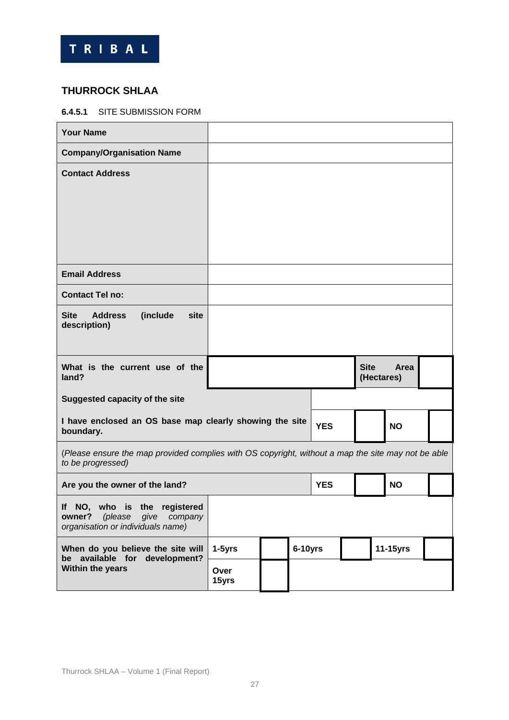

# **THURROCK SHLAA**

### **6.4.5.1** SITE SUBMISSION FORM

| <b>Your Name</b>                                                                                                        |          |  |            |            |                           |           |  |
|-------------------------------------------------------------------------------------------------------------------------|----------|--|------------|------------|---------------------------|-----------|--|
| <b>Company/Organisation Name</b>                                                                                        |          |  |            |            |                           |           |  |
| <b>Contact Address</b>                                                                                                  |          |  |            |            |                           |           |  |
|                                                                                                                         |          |  |            |            |                           |           |  |
| <b>Email Address</b>                                                                                                    |          |  |            |            |                           |           |  |
| <b>Contact Tel no:</b>                                                                                                  |          |  |            |            |                           |           |  |
| <b>Site</b><br>(include<br>site<br><b>Address</b><br>description)                                                       |          |  |            |            |                           |           |  |
| What is the current use of the<br>land?                                                                                 |          |  |            |            | <b>Site</b><br>(Hectares) | Area      |  |
|                                                                                                                         |          |  |            |            |                           |           |  |
| Suggested capacity of the site                                                                                          |          |  |            |            |                           |           |  |
| I have enclosed an OS base map clearly showing the site<br>boundary.                                                    |          |  |            | <b>YES</b> |                           | <b>NO</b> |  |
| (Please ensure the map provided complies with OS copyright, without a map the site may not be able<br>to be progressed) |          |  |            |            |                           |           |  |
| Are you the owner of the land?                                                                                          |          |  |            | <b>YES</b> |                           | <b>NO</b> |  |
| If NO, who is the registered<br>(please give<br>owner?<br>company<br>organisation or individuals name)                  |          |  |            |            |                           |           |  |
| When do you believe the site will<br>available for<br>development?<br>be                                                | $1-5yrs$ |  | $6-10$ yrs |            |                           | 11-15yrs  |  |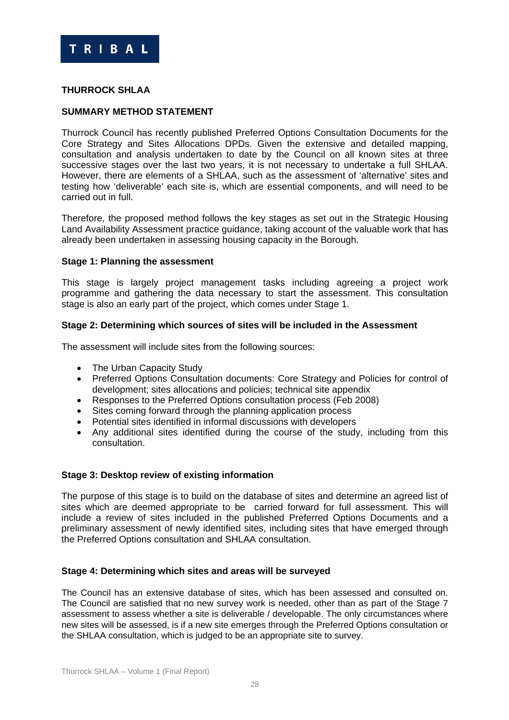

### **THURROCK SHLAA**

#### **SUMMARY METHOD STATEMENT**

Thurrock Council has recently published Preferred Options Consultation Documents for the Core Strategy and Sites Allocations DPDs. Given the extensive and detailed mapping, consultation and analysis undertaken to date by the Council on all known sites at three successive stages over the last two years, it is not necessary to undertake a full SHLAA. However, there are elements of a SHLAA, such as the assessment of 'alternative' sites and testing how 'deliverable' each site is, which are essential components, and will need to be carried out in full.

Therefore, the proposed method follows the key stages as set out in the Strategic Housing Land Availability Assessment practice guidance, taking account of the valuable work that has already been undertaken in assessing housing capacity in the Borough.

#### **Stage 1: Planning the assessment**

This stage is largely project management tasks including agreeing a project work programme and gathering the data necessary to start the assessment. This consultation stage is also an early part of the project, which comes under Stage 1.

#### **Stage 2: Determining which sources of sites will be included in the Assessment**

The assessment will include sites from the following sources:

- The Urban Capacity Study
- Preferred Options Consultation documents: Core Strategy and Policies for control of development; sites allocations and policies; technical site appendix
- Responses to the Preferred Options consultation process (Feb 2008)
- Sites coming forward through the planning application process
- Potential sites identified in informal discussions with developers
- Any additional sites identified during the course of the study, including from this consultation.

#### **Stage 3: Desktop review of existing information**

The purpose of this stage is to build on the database of sites and determine an agreed list of sites which are deemed appropriate to be carried forward for full assessment. This will include a review of sites included in the published Preferred Options Documents and a preliminary assessment of newly identified sites, including sites that have emerged through the Preferred Options consultation and SHLAA consultation.

#### **Stage 4: Determining which sites and areas will be surveyed**

The Council has an extensive database of sites, which has been assessed and consulted on. The Council are satisfied that no new survey work is needed, other than as part of the Stage 7 assessment to assess whether a site is deliverable / developable. The only circumstances where new sites will be assessed, is if a new site emerges through the Preferred Options consultation or the SHLAA consultation, which is judged to be an appropriate site to survey.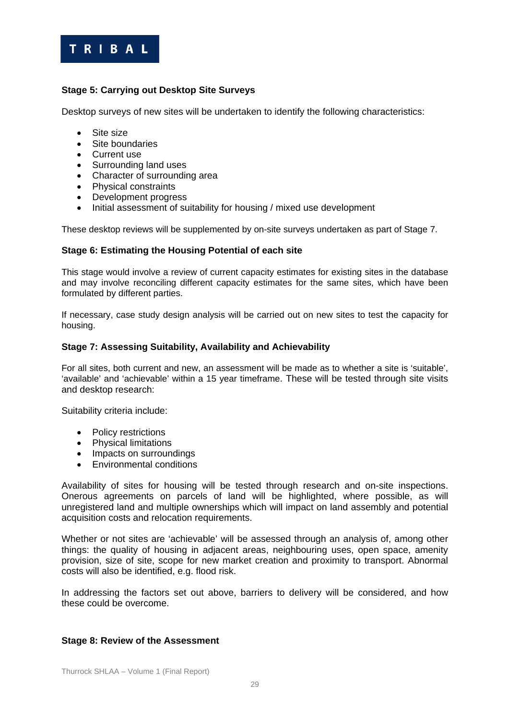

### **Stage 5: Carrying out Desktop Site Surveys**

Desktop surveys of new sites will be undertaken to identify the following characteristics:

- **Site size**
- Site boundaries
- Current use
- Surrounding land uses
- Character of surrounding area
- Physical constraints
- Development progress
- Initial assessment of suitability for housing / mixed use development

These desktop reviews will be supplemented by on-site surveys undertaken as part of Stage 7.

#### **Stage 6: Estimating the Housing Potential of each site**

This stage would involve a review of current capacity estimates for existing sites in the database and may involve reconciling different capacity estimates for the same sites, which have been formulated by different parties.

If necessary, case study design analysis will be carried out on new sites to test the capacity for housing.

#### **Stage 7: Assessing Suitability, Availability and Achievability**

For all sites, both current and new, an assessment will be made as to whether a site is 'suitable', 'available' and 'achievable' within a 15 year timeframe. These will be tested through site visits and desktop research:

Suitability criteria include:

- Policy restrictions
- Physical limitations
- Impacts on surroundings
- Environmental conditions

Availability of sites for housing will be tested through research and on-site inspections. Onerous agreements on parcels of land will be highlighted, where possible, as will unregistered land and multiple ownerships which will impact on land assembly and potential acquisition costs and relocation requirements.

Whether or not sites are 'achievable' will be assessed through an analysis of, among other things: the quality of housing in adjacent areas, neighbouring uses, open space, amenity provision, size of site, scope for new market creation and proximity to transport. Abnormal costs will also be identified, e.g. flood risk.

In addressing the factors set out above, barriers to delivery will be considered, and how these could be overcome.

#### **Stage 8: Review of the Assessment**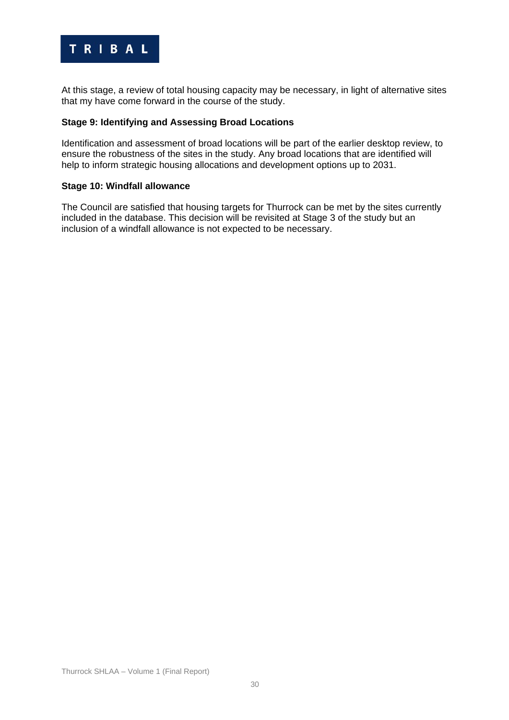

At this stage, a review of total housing capacity may be necessary, in light of alternative sites that my have come forward in the course of the study.

#### **Stage 9: Identifying and Assessing Broad Locations**

Identification and assessment of broad locations will be part of the earlier desktop review, to ensure the robustness of the sites in the study. Any broad locations that are identified will help to inform strategic housing allocations and development options up to 2031.

#### **Stage 10: Windfall allowance**

The Council are satisfied that housing targets for Thurrock can be met by the sites currently included in the database. This decision will be revisited at Stage 3 of the study but an inclusion of a windfall allowance is not expected to be necessary.